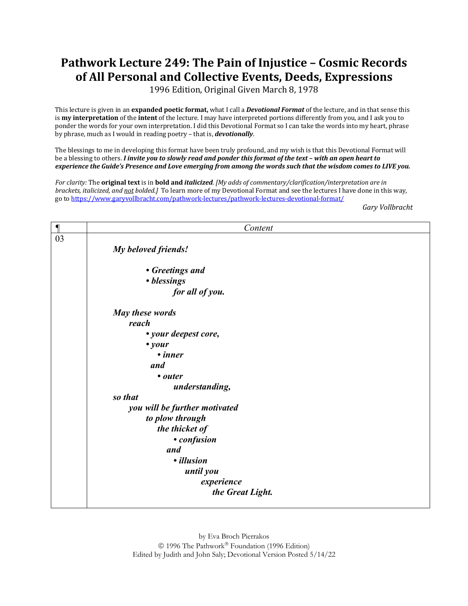## **Pathwork Lecture 249: The Pain of Injustice - Cosmic Records** of All Personal and Collective Events, Deeds, Expressions

1996 Edition, Original Given March 8, 1978

This lecture is given in an **expanded poetic format**, what I call a *Devotional Format* of the lecture, and in that sense this is **my interpretation** of the **intent** of the lecture. I may have interpreted portions differently from you, and I ask you to ponder the words for your own interpretation. I did this Devotional Format so I can take the words into my heart, phrase by phrase, much as I would in reading poetry – that is, *devotionally*.

The blessings to me in developing this format have been truly profound, and my wish is that this Devotional Format will be a blessing to others. *I invite you to slowly read and ponder this format of the text - with an open heart to experience the Guide's Presence and Love emerging from among the words such that the wisdom comes to LIVE you.* 

For clarity: The **original text** is in **bold and** *italicized*. [My adds of commentary/clarification/interpretation are in *brackets, italicized, and not bolded.]* To learn more of my Devotional Format and see the lectures I have done in this way, go to https://www.garyvollbracht.com/pathwork-lectures/pathwork-lectures-devotional-format/

*Gary Vollbracht*

| $\blacksquare$ | Content                       |
|----------------|-------------------------------|
| 03             |                               |
|                | My beloved friends!           |
|                |                               |
|                | • Greetings and               |
|                | • blessings                   |
|                | for all of you.               |
|                | May these words               |
|                | reach                         |
|                | • your deepest core,          |
|                | $\bullet$ your                |
|                | • inner                       |
|                | and                           |
|                | • outer                       |
|                | understanding,                |
|                | so that                       |
|                | you will be further motivated |
|                | to plow through               |
|                | the thicket of                |
|                | • confusion                   |
|                | and                           |
|                | · illusion                    |
|                | until you                     |
|                | experience                    |
|                | the Great Light.              |
|                |                               |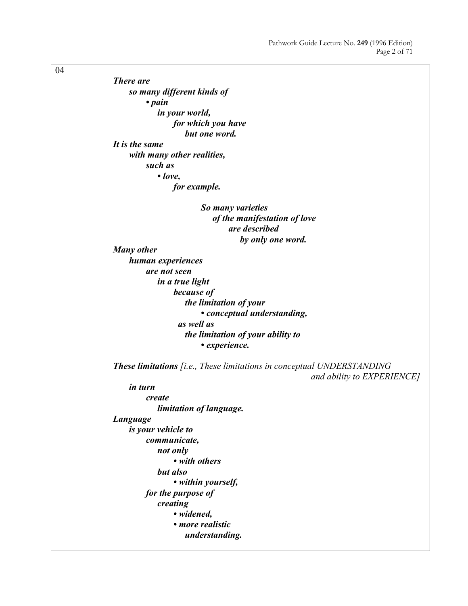04 *There are so many different kinds of • pain in your world, for which you have but one word. It is the same with many other realities, such as • love, for example. So many varieties of the manifestation of love are described by only one word. Many other human experiences are not seen in a true light because of the limitation of your • conceptual understanding, as well as the limitation of your ability to • experience. These limitations [i.e., These limitations in conceptual UNDERSTANDING and ability to EXPERIENCE] in turn create limitation of language. Language is your vehicle to communicate, not only • with others but also • within yourself, for the purpose of creating • widened, • more realistic understanding.*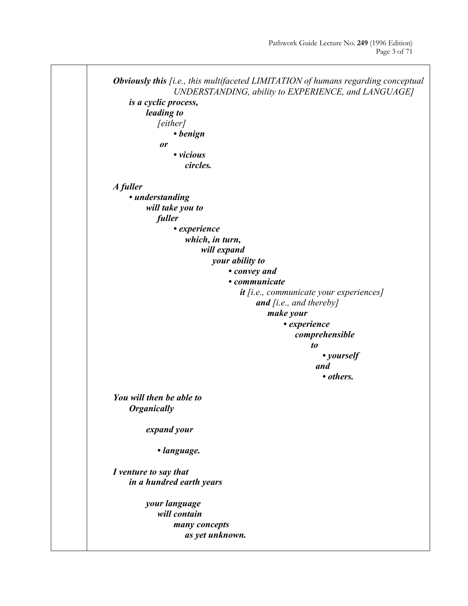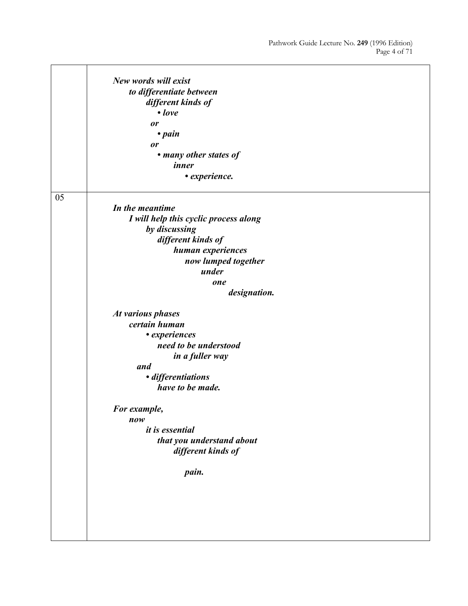|    | New words will exist                  |
|----|---------------------------------------|
|    | to differentiate between              |
|    | different kinds of                    |
|    | $\bullet$ love                        |
|    |                                       |
|    | <b>or</b>                             |
|    | $\cdot$ pain                          |
|    | or                                    |
|    | • many other states of                |
|    | inner                                 |
|    | • experience.                         |
| 05 |                                       |
|    | In the meantime                       |
|    | I will help this cyclic process along |
|    | by discussing                         |
|    | different kinds of                    |
|    | human experiences                     |
|    | now lumped together                   |
|    | under                                 |
|    | one                                   |
|    | designation.                          |
|    |                                       |
|    | At various phases                     |
|    | certain human                         |
|    | • experiences                         |
|    | need to be understood                 |
|    | in a fuller way                       |
|    | and                                   |
|    | · differentiations                    |
|    | have to be made.                      |
|    |                                       |
|    | For example,                          |
|    | now                                   |
|    | <i>it is essential</i>                |
|    | that you understand about             |
|    | different kinds of                    |
|    |                                       |
|    | pain.                                 |
|    |                                       |
|    |                                       |
|    |                                       |
|    |                                       |
|    |                                       |
|    |                                       |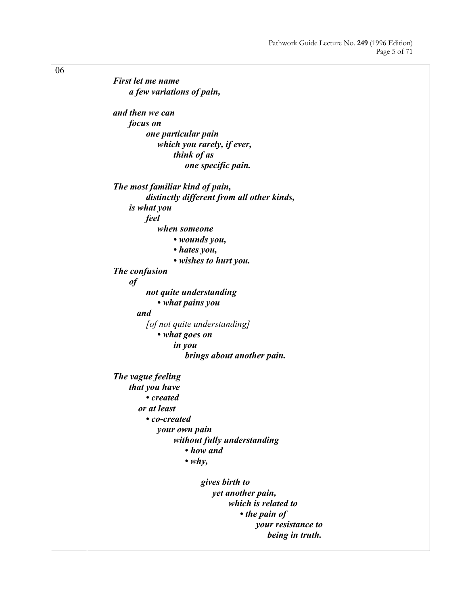| 06 |                                            |
|----|--------------------------------------------|
|    | First let me name                          |
|    | a few variations of pain,                  |
|    |                                            |
|    | and then we can                            |
|    | focus on                                   |
|    | one particular pain                        |
|    | which you rarely, if ever,                 |
|    | think of as                                |
|    | one specific pain.                         |
|    | The most familiar kind of pain,            |
|    | distinctly different from all other kinds, |
|    | is what you                                |
|    | feel                                       |
|    | when someone                               |
|    | • wounds you,                              |
|    | • hates you,                               |
|    | • wishes to hurt you.                      |
|    | The confusion                              |
|    | $\it of$                                   |
|    | not quite understanding                    |
|    | • what pains you                           |
|    | and                                        |
|    | [of not quite understanding]               |
|    | • what goes on                             |
|    | in you                                     |
|    | brings about another pain.                 |
|    | The vague feeling                          |
|    | that you have                              |
|    | • created                                  |
|    | or at least                                |
|    | • co-created                               |
|    | your own pain                              |
|    | without fully understanding                |
|    | • how and                                  |
|    | $\cdot$ why,                               |
|    | gives birth to                             |
|    | yet another pain,                          |
|    | which is related to                        |
|    | • the pain of                              |
|    | your resistance to                         |
|    | being in truth.                            |
|    |                                            |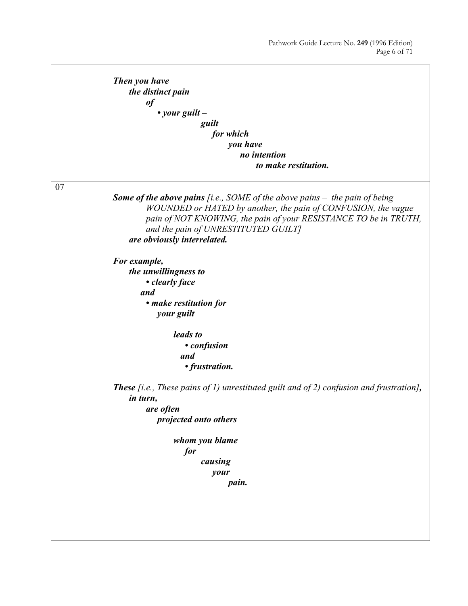$\overline{\phantom{0}}$ 

|    | Then you have                                                                                                                                                                                                                                                                                  |
|----|------------------------------------------------------------------------------------------------------------------------------------------------------------------------------------------------------------------------------------------------------------------------------------------------|
|    | the distinct pain                                                                                                                                                                                                                                                                              |
|    | $\it of$                                                                                                                                                                                                                                                                                       |
|    | • your guilt $-$                                                                                                                                                                                                                                                                               |
|    | guilt                                                                                                                                                                                                                                                                                          |
|    | for which                                                                                                                                                                                                                                                                                      |
|    | you have                                                                                                                                                                                                                                                                                       |
|    | no intention                                                                                                                                                                                                                                                                                   |
|    | to make restitution.                                                                                                                                                                                                                                                                           |
| 07 |                                                                                                                                                                                                                                                                                                |
|    | <b>Some of the above pains</b> [i.e., SOME of the above pains $-$ the pain of being<br>WOUNDED or HATED by another, the pain of CONFUSION, the vague<br>pain of NOT KNOWING, the pain of your RESISTANCE TO be in TRUTH,<br>and the pain of UNRESTITUTED GUILT]<br>are obviously interrelated. |
|    |                                                                                                                                                                                                                                                                                                |
|    | For example,                                                                                                                                                                                                                                                                                   |
|    | the unwillingness to                                                                                                                                                                                                                                                                           |
|    | • clearly face<br>and                                                                                                                                                                                                                                                                          |
|    |                                                                                                                                                                                                                                                                                                |
|    | • make restitution for<br>your guilt                                                                                                                                                                                                                                                           |
|    | leads to                                                                                                                                                                                                                                                                                       |
|    | • confusion                                                                                                                                                                                                                                                                                    |
|    | and                                                                                                                                                                                                                                                                                            |
|    | • frustration.                                                                                                                                                                                                                                                                                 |
|    | <b>These</b> [i.e., These pains of 1) unrestituted guilt and of 2) confusion and frustration],<br>in turn,                                                                                                                                                                                     |
|    | are often                                                                                                                                                                                                                                                                                      |
|    | projected onto others                                                                                                                                                                                                                                                                          |
|    | whom you blame                                                                                                                                                                                                                                                                                 |
|    | for                                                                                                                                                                                                                                                                                            |
|    | causing                                                                                                                                                                                                                                                                                        |
|    | your                                                                                                                                                                                                                                                                                           |
|    | pain.                                                                                                                                                                                                                                                                                          |
|    |                                                                                                                                                                                                                                                                                                |
|    |                                                                                                                                                                                                                                                                                                |
|    |                                                                                                                                                                                                                                                                                                |
|    |                                                                                                                                                                                                                                                                                                |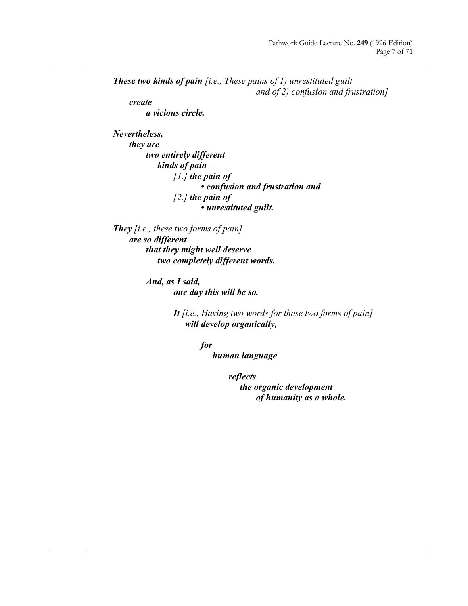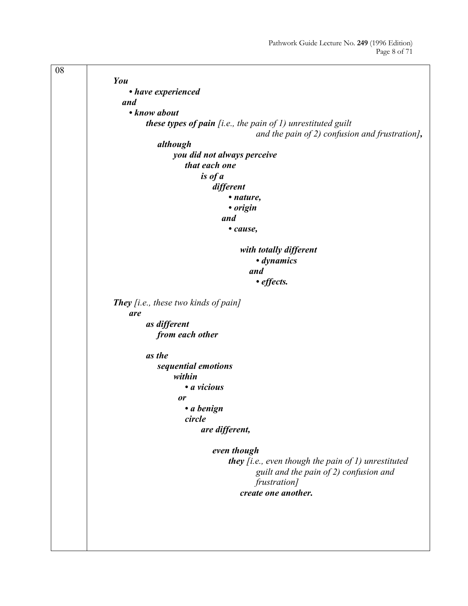08 *You • have experienced and • know about these types of pain [i.e., the pain of 1) unrestituted guilt and the pain of 2) confusion and frustration], although you did not always perceive that each one is of a different • nature, • origin and • cause, with totally different • dynamics and • effects. They [i.e., these two kinds of pain] are as different from each other as the sequential emotions within • a vicious or • a benign circle are different, even though they [i.e., even though the pain of 1) unrestituted guilt and the pain of 2) confusion and frustration] create one another.*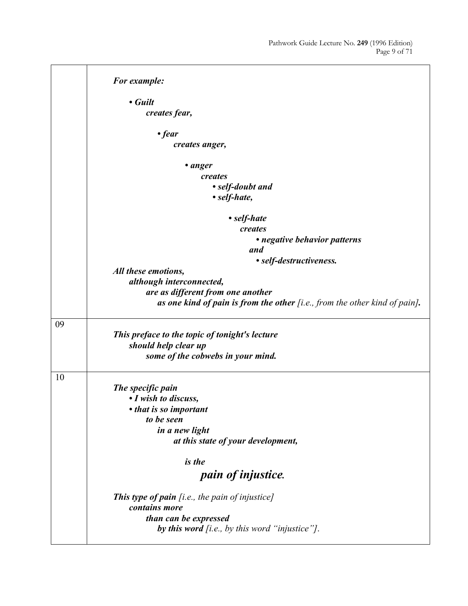```
For example: 
                      • Guilt 
                          creates fear, 
                               • fear 
                                  creates anger, 
                                      • anger 
                                          creates 
                                               • self-doubt and 
                                               • self-hate, 
                                                  • self-hate 
                                                      creates 
                                                          • negative behavior patterns 
                                                         and 
                                                          • self-destructiveness. 
                 All these emotions, 
                      although interconnected, 
                           are as different from one another 
                               as one kind of pain is from the other [i.e., from the other kind of pain].
09
                 This preface to the topic of tonight's lecture 
                      should help clear up 
                          some of the cobwebs in your mind.
10
                 The specific pain 
                      • I wish to discuss, 
                      • that is so important 
                          to be seen 
                               in a new light 
                                  at this state of your development, 
                                      is the 
                                           pain of injustice. 
                 This type of pain [i.e., the pain of injustice]
                      contains more 
                          than can be expressed 
                               by this word [i.e., by this word "injustice"].
```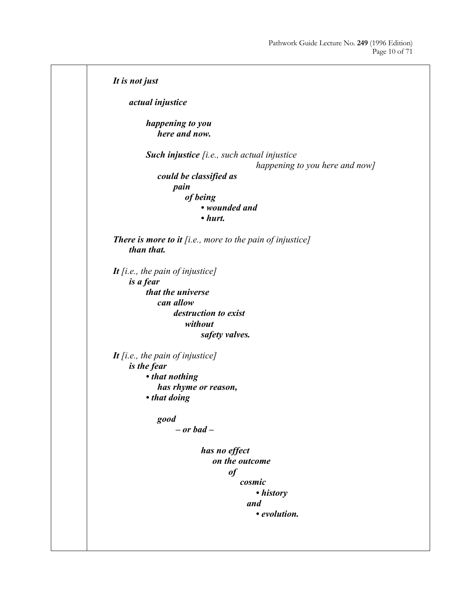```
It is not just
     actual injustice 
         happening to you 
              here and now. 
         Such injustice [i.e., such actual injustice 
                                          happening to you here and now]
              could be classified as 
                 pain 
                      of being 
                          • wounded and 
                          • hurt. 
There is more to it [i.e., more to the pain of injustice]
     than that. 
It [i.e., the pain of injustice]
     is a fear 
          that the universe 
              can allow 
                   destruction to exist 
                      without 
                          safety valves. 
It [i.e., the pain of injustice]
     is the fear 
         • that nothing 
              has rhyme or reason, 
         • that doing 
              good
                  – or bad –
                           has no effect 
                              on the outcome 
                                  of 
                                       cosmic 
                                           • history 
                                        and 
                                           • evolution.
```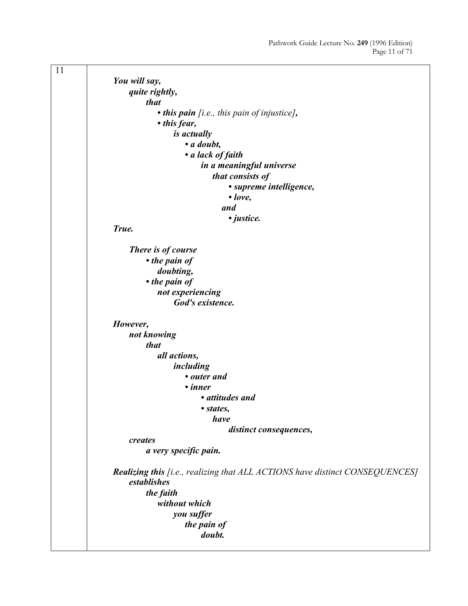11 *You will say, quite rightly, that • this pain [i.e., this pain of injustice], • this fear, is actually • a doubt, • a lack of faith in a meaningful universe that consists of • supreme intelligence, • love, and • justice. True. There is of course • the pain of doubting, • the pain of not experiencing God's existence. However, not knowing that all actions, including • outer and • inner • attitudes and • states, have distinct consequences, creates a very specific pain. Realizing this [i.e., realizing that ALL ACTIONS have distinct CONSEQUENCES] establishes the faith without which you suffer the pain of doubt.*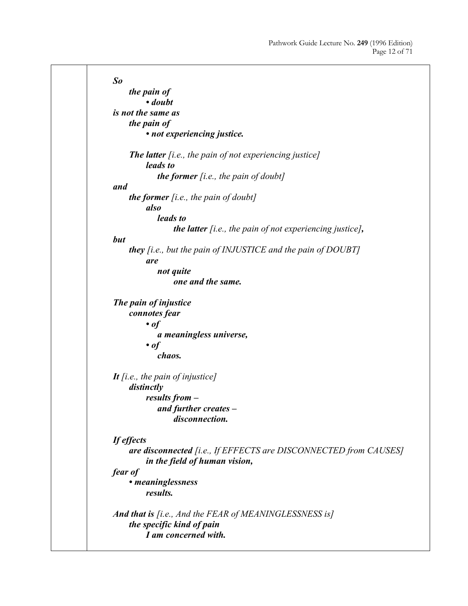*So the pain of • doubt is not the same as the pain of • not experiencing justice. The latter [i.e., the pain of not experiencing justice] leads to the former [i.e., the pain of doubt] and the former [i.e., the pain of doubt] also leads to the latter [i.e., the pain of not experiencing justice], but they [i.e., but the pain of INJUSTICE and the pain of DOUBT] are not quite one and the same. The pain of injustice connotes fear • of a meaningless universe, • of chaos. It [i.e., the pain of injustice] distinctly results from – and further creates – disconnection. If effects are disconnected [i.e., If EFFECTS are DISCONNECTED from CAUSES] in the field of human vision, fear of • meaninglessness results. And that is [i.e., And the FEAR of MEANINGLESSNESS is] the specific kind of pain I am concerned with.*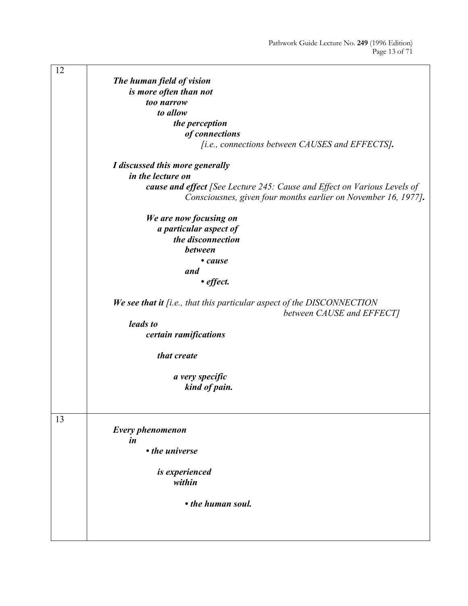| 12 |                                                                                                       |
|----|-------------------------------------------------------------------------------------------------------|
|    | The human field of vision                                                                             |
|    | is more often than not                                                                                |
|    | too narrow                                                                                            |
|    | to allow                                                                                              |
|    |                                                                                                       |
|    | the perception                                                                                        |
|    | of connections                                                                                        |
|    | [i.e., connections between CAUSES and EFFECTS].                                                       |
|    | I discussed this more generally                                                                       |
|    | in the lecture on                                                                                     |
|    | cause and effect [See Lecture 245: Cause and Effect on Various Levels of                              |
|    | Consciousnes, given four months earlier on November 16, 1977].                                        |
|    | We are now focusing on                                                                                |
|    | a particular aspect of                                                                                |
|    | the disconnection                                                                                     |
|    | between                                                                                               |
|    | • cause                                                                                               |
|    | and                                                                                                   |
|    |                                                                                                       |
|    | • effect.                                                                                             |
|    | We see that it $[i.e., that this particular aspect of the DISCONNECTION$<br>between CAUSE and EFFECT] |
|    | leads to                                                                                              |
|    | certain ramifications                                                                                 |
|    | that create                                                                                           |
|    | a very specific                                                                                       |
|    | kind of pain.                                                                                         |
|    |                                                                                                       |
|    |                                                                                                       |
| 13 | Every phenomenon                                                                                      |
|    |                                                                                                       |
|    | in                                                                                                    |
|    | • the universe                                                                                        |
|    | is experienced                                                                                        |
|    | within                                                                                                |
|    |                                                                                                       |
|    | • the human soul.                                                                                     |
|    |                                                                                                       |
|    |                                                                                                       |
|    |                                                                                                       |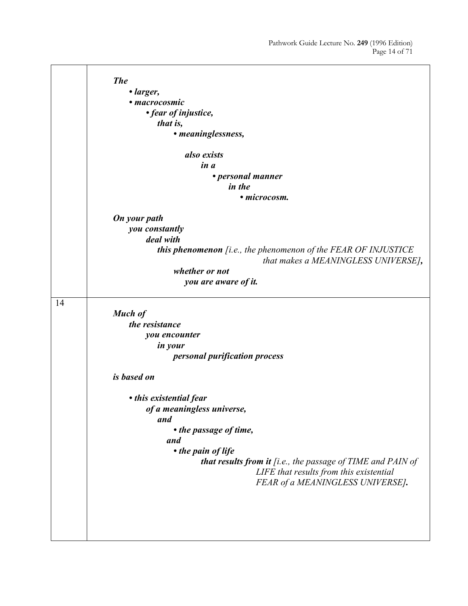$\overline{\phantom{0}}$ 

|    | <b>The</b>                                                              |
|----|-------------------------------------------------------------------------|
|    | • larger,                                                               |
|    | • macrocosmic                                                           |
|    | • fear of injustice,                                                    |
|    | that is,                                                                |
|    | • meaninglessness,                                                      |
|    |                                                                         |
|    | also exists                                                             |
|    | in a                                                                    |
|    | • personal manner                                                       |
|    | in the                                                                  |
|    | · microcosm.                                                            |
|    | On your path                                                            |
|    | you constantly                                                          |
|    | deal with                                                               |
|    | <b>this phenomenon</b> $[i.e., the phenomenon of the FEAR OF INJUSTICE$ |
|    | that makes a MEANINGLESS UNIVERSE],                                     |
|    | whether or not                                                          |
|    | you are aware of it.                                                    |
| 14 |                                                                         |
|    | Much of                                                                 |
|    | the resistance                                                          |
|    | you encounter                                                           |
|    | in your                                                                 |
|    | <i>personal purification process</i>                                    |
|    | is based on                                                             |
|    |                                                                         |
|    | • this existential fear                                                 |
|    | of a meaningless universe,                                              |
|    | and                                                                     |
|    | • the passage of time,                                                  |
|    | and                                                                     |
|    | • the pain of life                                                      |
|    | <b>that results from it</b> [i.e., the passage of TIME and PAIN of      |
|    | LIFE that results from this existential                                 |
|    | FEAR of a MEANINGLESS UNIVERSE].                                        |
|    |                                                                         |
|    |                                                                         |
|    |                                                                         |
|    |                                                                         |
|    |                                                                         |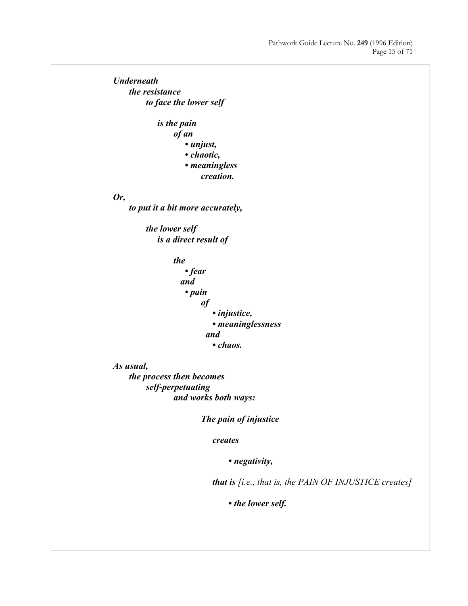*Underneath the resistance to face the lower self is the pain of an • unjust, • chaotic, • meaningless creation. Or, to put it a bit more accurately, the lower self is a direct result of the • fear and • pain of • injustice, • meaninglessness and • chaos. As usual, the process then becomes self-perpetuating and works both ways: The pain of injustice creates • negativity, that is [i.e., that is, the PAIN OF INJUSTICE creates] • the lower self.*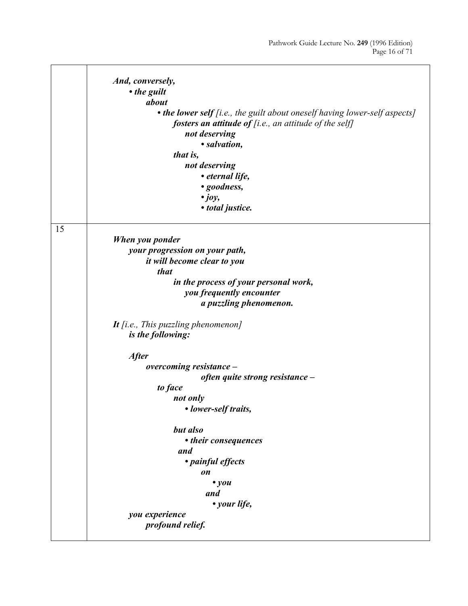|    | And, conversely,                                                           |
|----|----------------------------------------------------------------------------|
|    | • the guilt                                                                |
|    | about                                                                      |
|    | • the lower self [i.e., the guilt about oneself having lower-self aspects] |
|    | fosters an attitude of [i.e., an attitude of the self]                     |
|    | not deserving                                                              |
|    | · salvation,                                                               |
|    | that is,                                                                   |
|    | not deserving                                                              |
|    | • eternal life,                                                            |
|    | • goodness,                                                                |
|    | $\cdot$ joy,                                                               |
|    | · total justice.                                                           |
| 15 |                                                                            |
|    | When you ponder                                                            |
|    | your progression on your path,                                             |
|    | it will become clear to you                                                |
|    | that                                                                       |
|    | in the process of your personal work,                                      |
|    | you frequently encounter                                                   |
|    | a puzzling phenomenon.                                                     |
|    | It [i.e., This puzzling phenomenon]                                        |
|    | is the following:                                                          |
|    | <b>After</b>                                                               |
|    | overcoming resistance -                                                    |
|    | often quite strong resistance -                                            |
|    | to face                                                                    |
|    | not only                                                                   |
|    | • lower-self traits,                                                       |
|    | but also                                                                   |
|    | • their consequences                                                       |
|    | and                                                                        |
|    | • painful effects                                                          |
|    | on                                                                         |
|    | $\bullet$ you                                                              |
|    | and                                                                        |
|    | • your life,                                                               |
|    | you experience                                                             |
|    | profound relief.                                                           |
|    |                                                                            |

**r**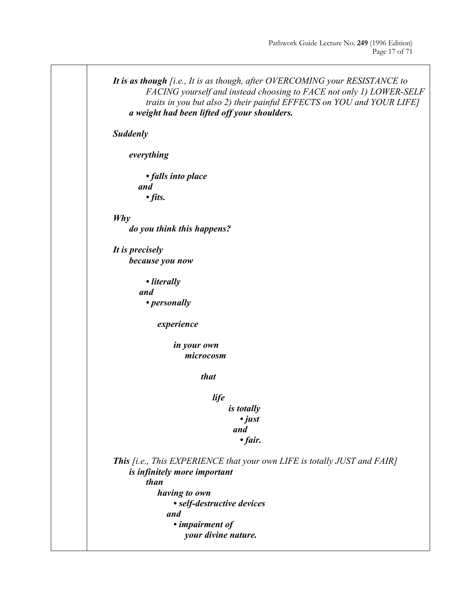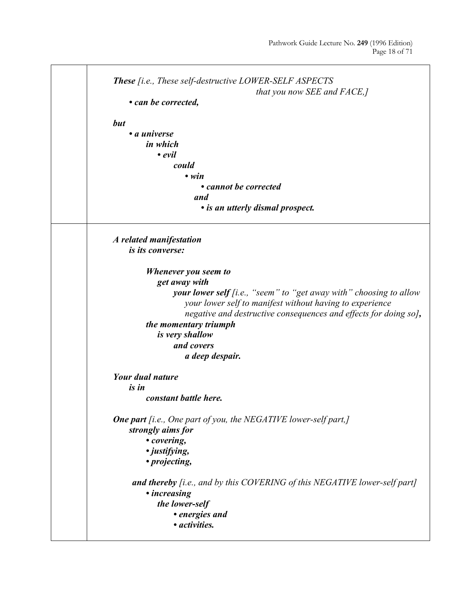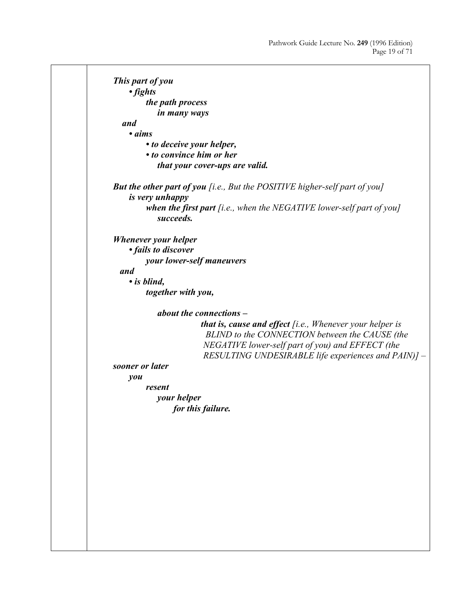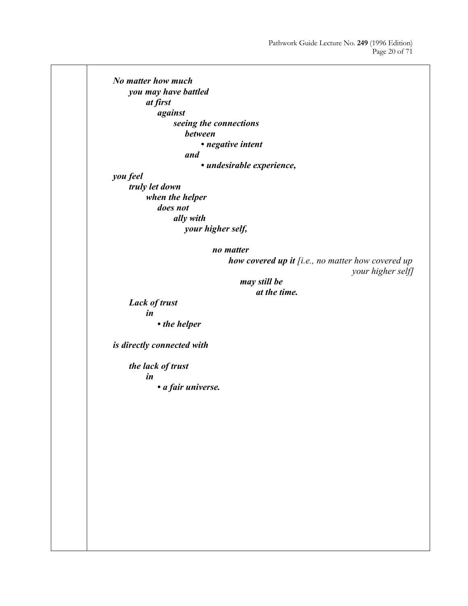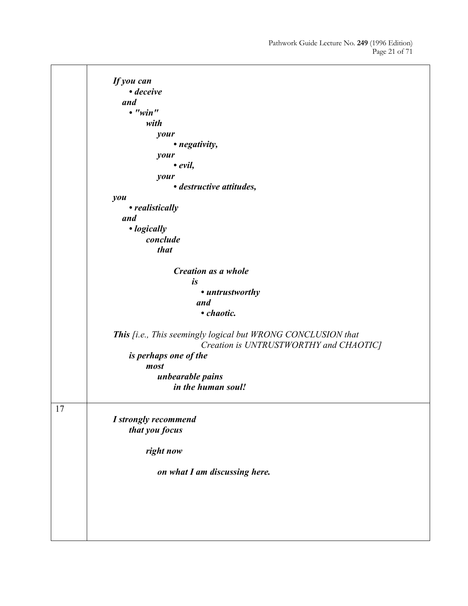*If you can • deceive and • "win" with your • negativity, your • evil, your • destructive attitudes, you • realistically and • logically conclude that Creation as a whole is • untrustworthy and • chaotic. This [i.e., This seemingly logical but WRONG CONCLUSION that Creation is UNTRUSTWORTHY and CHAOTIC] is perhaps one of the most unbearable pains in the human soul!* 17 *I strongly recommend that you focus right now on what I am discussing here.*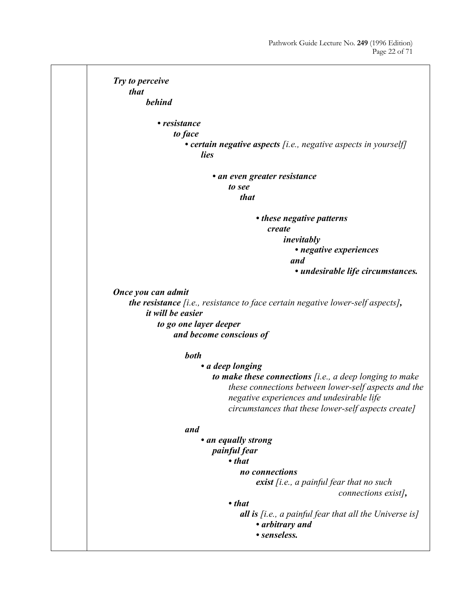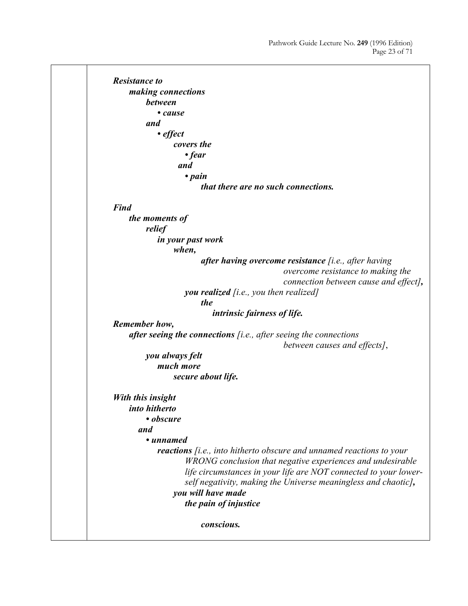*Resistance to making connections between • cause and • effect covers the • fear and • pain that there are no such connections. Find the moments of relief in your past work when, after having overcome resistance [i.e., after having overcome resistance to making the connection between cause and effect], you realized [i.e., you then realized] the intrinsic fairness of life. Remember how, after seeing the connections [i.e., after seeing the connections between causes and effects]*, *you always felt much more secure about life. With this insight into hitherto • obscure and • unnamed reactions [i.e., into hitherto obscure and unnamed reactions to your WRONG conclusion that negative experiences and undesirable life circumstances in your life are NOT connected to your lower self negativity, making the Universe meaningless and chaotic], you will have made the pain of injustice conscious.*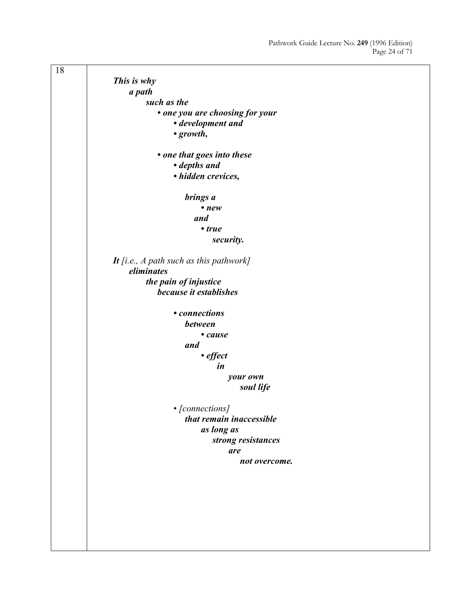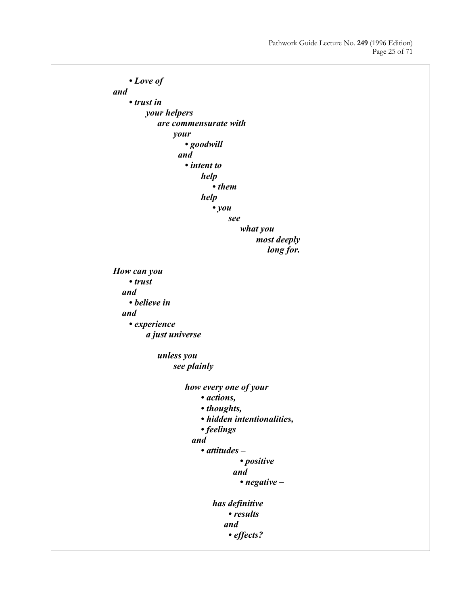*• Love of and • trust in your helpers are commensurate with your • goodwill and • intent to help • them help • you see what you most deeply long for. How can you • trust and • believe in and • experience a just universe unless you see plainly how every one of your • actions, • thoughts, • hidden intentionalities, • feelings and • attitudes – • positive and • negative – has definitive • results and • effects?*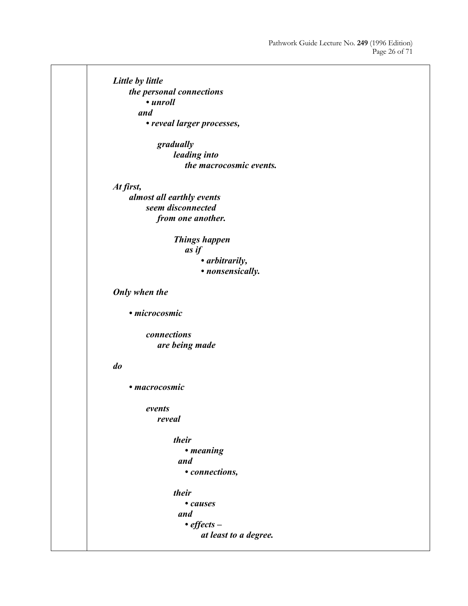*Little by little the personal connections • unroll and • reveal larger processes, gradually leading into the macrocosmic events. At first, almost all earthly events seem disconnected from one another. Things happen as if • arbitrarily, • nonsensically. Only when the • microcosmic connections are being made do • macrocosmic events reveal their • meaning and • connections, their • causes and • effects – at least to a degree.*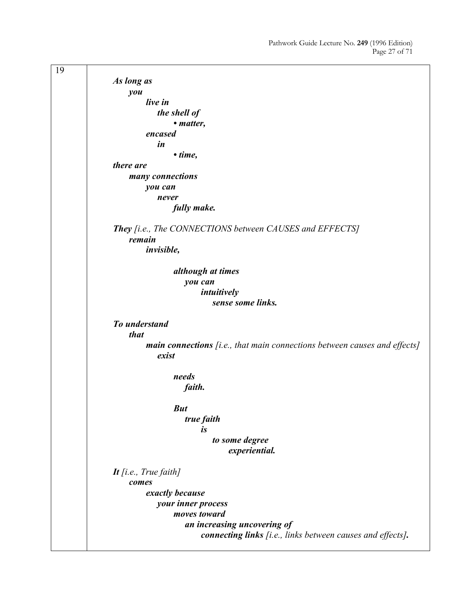19 *As long as you live in the shell of • matter, encased in • time, there are many connections you can never fully make. They [i.e., The CONNECTIONS between CAUSES and EFFECTS] remain invisible, although at times you can intuitively sense some links. To understand that main connections [i.e., that main connections between causes and effects] exist needs faith. But true faith is to some degree experiential. It [i.e., True faith] comes exactly because your inner process moves toward an increasing uncovering of connecting links [i.e., links between causes and effects].*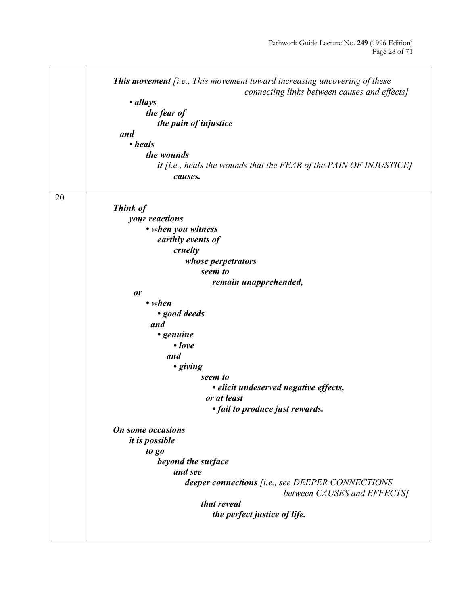|    | This movement [i.e., This movement toward increasing uncovering of these<br>connecting links between causes and effects]<br>• allays<br>the fear of<br>the pain of injustice<br>and<br>• heals<br>the wounds<br>it [i.e., heals the wounds that the FEAR of the PAIN OF INJUSTICE]<br>causes. |
|----|-----------------------------------------------------------------------------------------------------------------------------------------------------------------------------------------------------------------------------------------------------------------------------------------------|
| 20 | Think of<br>your reactions<br>• when you witness<br>earthly events of<br>cruelty<br>whose perpetrators<br>seem to<br>remain unapprehended,                                                                                                                                                    |
|    | or                                                                                                                                                                                                                                                                                            |
|    | $\cdot$ when<br>· good deeds<br>and<br>• genuine<br>$\bullet$ love<br>and<br>• giving<br>seem to<br>• elicit undeserved negative effects,<br>or at least<br>• fail to produce just rewards.<br>On some occasions                                                                              |
|    | <i>it is possible</i><br>to go<br>beyond the surface<br>and see<br>deeper connections [i.e., see DEEPER CONNECTIONS<br>between CAUSES and EFFECTS]<br>that reveal<br>the perfect justice of life.                                                                                             |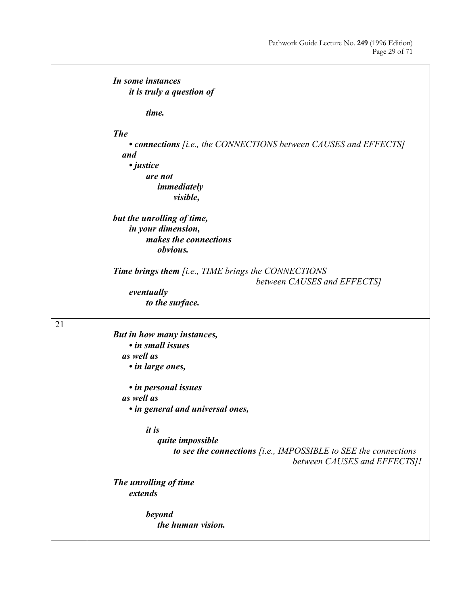|    | In some instances<br><i>it is truly a question of</i>                                                                                                                                                                                                                                                                                    |
|----|------------------------------------------------------------------------------------------------------------------------------------------------------------------------------------------------------------------------------------------------------------------------------------------------------------------------------------------|
|    | time.                                                                                                                                                                                                                                                                                                                                    |
|    | <b>The</b><br>• connections [i.e., the CONNECTIONS between CAUSES and EFFECTS]<br>and<br>• justice<br>are not<br>immediately<br>visible,                                                                                                                                                                                                 |
|    | but the unrolling of time,<br>in your dimension,<br>makes the connections<br>obvious.                                                                                                                                                                                                                                                    |
|    | <b>Time brings them</b> [i.e., TIME brings the CONNECTIONS<br>between CAUSES and EFFECTS]<br>eventually<br>to the surface.                                                                                                                                                                                                               |
| 21 | But in how many instances,<br>• in small issues<br>as well as<br>• in large ones,<br>• in personal issues<br>as well as<br>• in general and universal ones,<br><i>it is</i><br>quite impossible<br>to see the connections $[i.e., IMPOSSIBLE$ to SEE the connections<br>between CAUSES and EFFECTS]!<br>The unrolling of time<br>extends |
|    | <b>beyond</b><br>the human vision.                                                                                                                                                                                                                                                                                                       |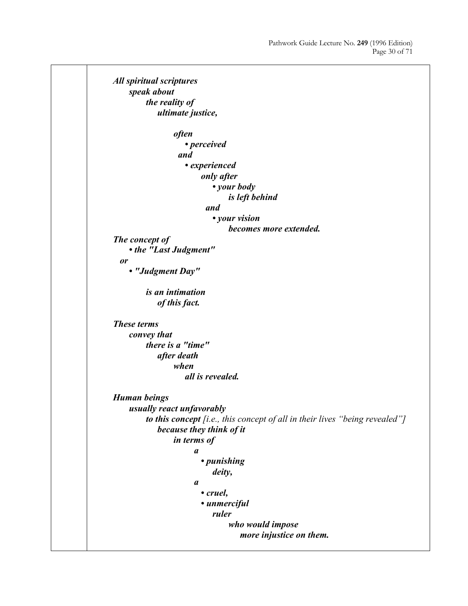```
All spiritual scriptures 
     speak about 
         the reality of 
              ultimate justice, 
                 often 
                      • perceived 
                    and 
                      • experienced 
                          only after 
                              • your body 
                                  is left behind 
                            and 
                              • your vision 
                                  becomes more extended. 
The concept of 
      • the "Last Judgment" 
   or 
     • "Judgment Day" 
         is an intimation 
              of this fact. 
These terms 
     convey that 
         there is a "time" 
              after death 
                  when 
                      all is revealed. 
Human beings 
     usually react unfavorably 
         to this concept [i.e., this concept of all in their lives "being revealed"] 
              because they think of it 
                 in terms of 
                         a 
                          • punishing 
                              deity, 
                         a 
                          • cruel, 
                          • unmerciful 
                              ruler 
                                  who would impose 
                                      more injustice on them.
```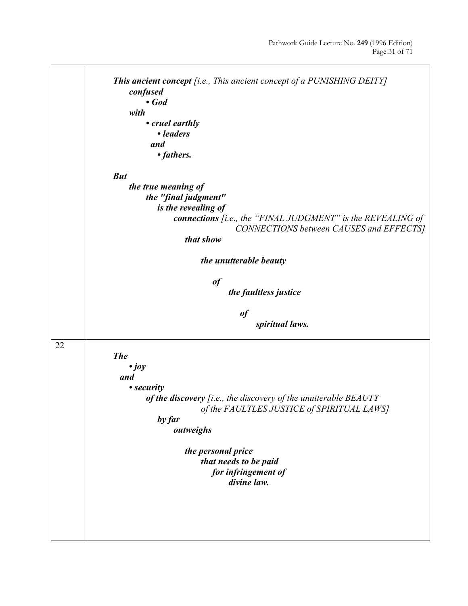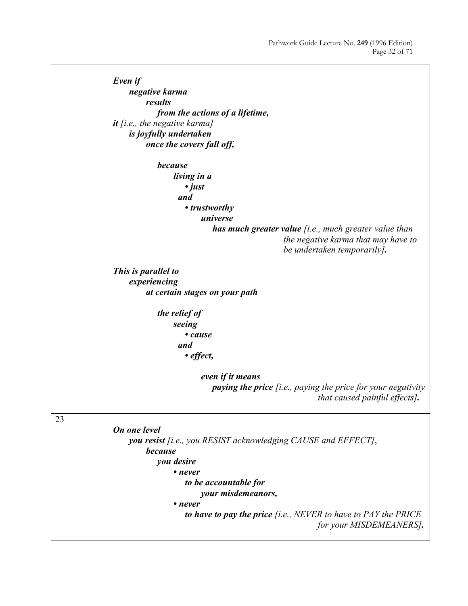*Even if negative karma results from the actions of a lifetime, it [i.e., the negative karma] is joyfully undertaken once the covers fall off, because living in a • just and • trustworthy universe has much greater value [i.e., much greater value than the negative karma that may have to be undertaken temporarily]. This is parallel to experiencing at certain stages on your path the relief of seeing • cause and • effect, even if it means paying the price [i.e., paying the price for your negativity that caused painful effects].* 23 *On one level you resist [i.e., you RESIST acknowledging CAUSE and EFFECT]*, *because you desire • never to be accountable for your misdemeanors, • never to have to pay the price [i.e., NEVER to have to PAY the PRICE for your MISDEMEANERS].*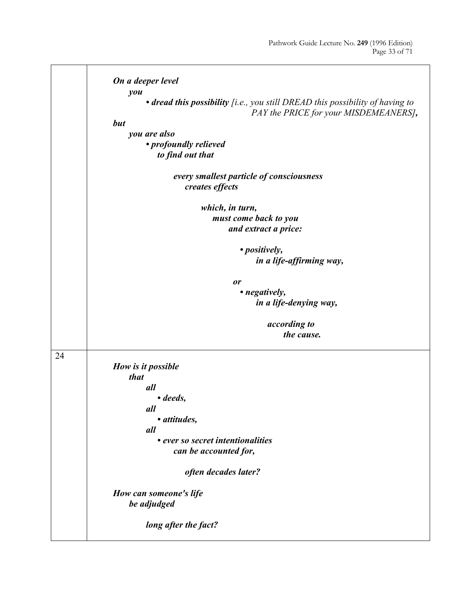$\overline{\phantom{a}}$ 

|    | On a deeper level                                                                    |
|----|--------------------------------------------------------------------------------------|
|    | you<br>• dread this possibility [i.e., you still DREAD this possibility of having to |
|    | PAY the PRICE for your MISDEMEANERS],                                                |
|    | but                                                                                  |
|    |                                                                                      |
|    | you are also                                                                         |
|    | • profoundly relieved                                                                |
|    | to find out that                                                                     |
|    | every smallest particle of consciousness                                             |
|    | creates effects                                                                      |
|    |                                                                                      |
|    | which, in turn,                                                                      |
|    | must come back to you                                                                |
|    | and extract a price:                                                                 |
|    |                                                                                      |
|    | • positively,                                                                        |
|    |                                                                                      |
|    | in a life-affirming way,                                                             |
|    | or                                                                                   |
|    | • negatively,                                                                        |
|    |                                                                                      |
|    | in a life-denying way,                                                               |
|    | according to                                                                         |
|    | the cause.                                                                           |
|    |                                                                                      |
| 24 |                                                                                      |
|    | How is it possible                                                                   |
|    | that                                                                                 |
|    | all                                                                                  |
|    | • deeds,                                                                             |
|    | all                                                                                  |
|    | • attitudes,                                                                         |
|    | all                                                                                  |
|    | • ever so secret intentionalities                                                    |
|    |                                                                                      |
|    | can be accounted for,                                                                |
|    | often decades later?                                                                 |
|    |                                                                                      |
|    | How can someone's life                                                               |
|    | be adjudged                                                                          |
|    |                                                                                      |
|    | long after the fact?                                                                 |
|    |                                                                                      |

**r**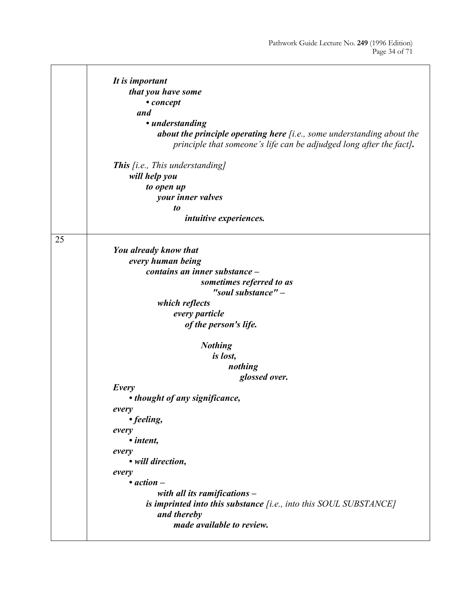|    | It is important                                                          |
|----|--------------------------------------------------------------------------|
|    | that you have some                                                       |
|    | • concept                                                                |
|    | and                                                                      |
|    | • understanding                                                          |
|    | about the principle operating here $[i.e., some understanding about the$ |
|    | principle that someone's life can be adjudged long after the fact].      |
|    | <b>This</b> [i.e., This understanding]                                   |
|    | will help you                                                            |
|    | to open up                                                               |
|    | your inner valves                                                        |
|    | to                                                                       |
|    | intuitive experiences.                                                   |
|    |                                                                          |
| 25 |                                                                          |
|    | You already know that                                                    |
|    | every human being                                                        |
|    | contains an inner substance -                                            |
|    | sometimes referred to as                                                 |
|    | "soul substance" -                                                       |
|    | which reflects                                                           |
|    | every particle                                                           |
|    | of the person's life.                                                    |
|    | <b>Nothing</b>                                                           |
|    | is lost,                                                                 |
|    | nothing                                                                  |
|    | glossed over.                                                            |
|    | Every                                                                    |
|    | • thought of any significance,                                           |
|    | every                                                                    |
|    | • feeling,                                                               |
|    | every                                                                    |
|    | • intent,                                                                |
|    | every                                                                    |
|    | • will direction,                                                        |
|    | every                                                                    |
|    | $\bullet$ action $-$                                                     |
|    | with all its ramifications -                                             |
|    | is imprinted into this substance [i.e., into this SOUL SUBSTANCE]        |
|    | and thereby                                                              |
|    | made available to review.                                                |
|    |                                                                          |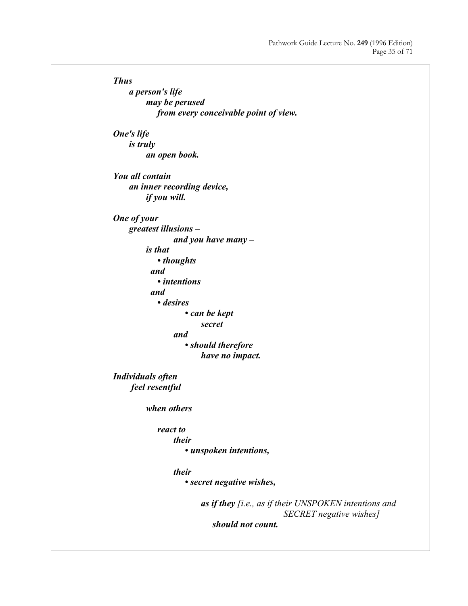*Thus a person's life may be perused from every conceivable point of view. One's life is truly an open book. You all contain an inner recording device, if you will. One of your greatest illusions – and you have many – is that • thoughts and • intentions and • desires • can be kept secret and • should therefore have no impact. Individuals often feel resentful when others react to their • unspoken intentions, their • secret negative wishes, as if they [i.e., as if their UNSPOKEN intentions and SECRET negative wishes] should not count.*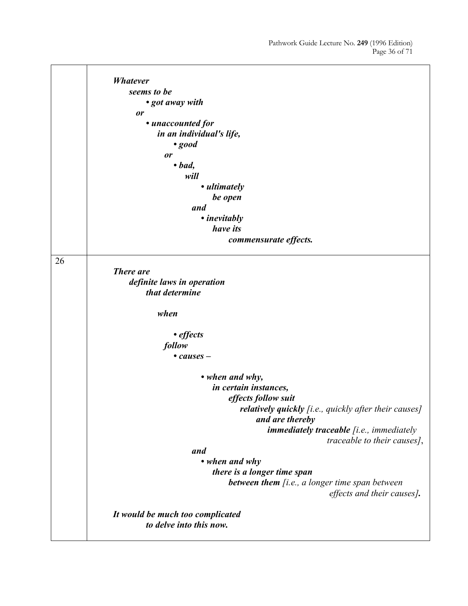|    | <b>Whatever</b><br>seems to be<br>• got away with<br><b>or</b><br>• unaccounted for<br>in an individual's life,<br>$\cdot$ good<br>or |
|----|---------------------------------------------------------------------------------------------------------------------------------------|
|    | $\bullet$ bad,                                                                                                                        |
|    | will<br>• ultimately                                                                                                                  |
|    | be open                                                                                                                               |
|    | and                                                                                                                                   |
|    | • inevitably                                                                                                                          |
|    | have its                                                                                                                              |
|    | commensurate effects.                                                                                                                 |
| 26 | <b>There</b> are<br>definite laws in operation<br>that determine                                                                      |
|    | when                                                                                                                                  |
|    | • effects                                                                                                                             |
|    | follow                                                                                                                                |
|    | $\bullet$ causes $-$                                                                                                                  |
|    | • when and why,<br>in certain instances,<br>effects follow suit                                                                       |
|    | <b>relatively quickly</b> [i.e., quickly after their causes]<br>and are thereby                                                       |
|    | <i>immediately traceable [i.e., immediately</i><br>traceable to their causes],                                                        |
|    | and                                                                                                                                   |
|    | • when and why                                                                                                                        |
|    | there is a longer time span                                                                                                           |
|    | between them [i.e., a longer time span between<br>effects and their causes].                                                          |
|    | It would be much too complicated<br>to delve into this now.                                                                           |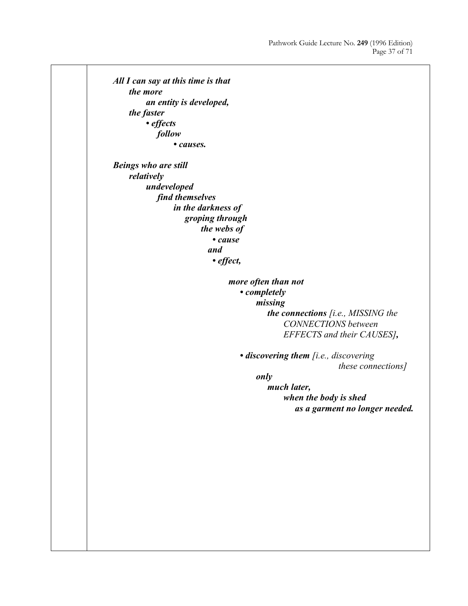*All I can say at this time is that the more an entity is developed, the faster • effects follow • causes. Beings who are still relatively undeveloped find themselves in the darkness of groping through the webs of • cause and • effect, more often than not • completely missing the connections [i.e., MISSING the CONNECTIONS between EFFECTS and their CAUSES], • discovering them [i.e., discovering these connections] only much later, when the body is shed as a garment no longer needed.*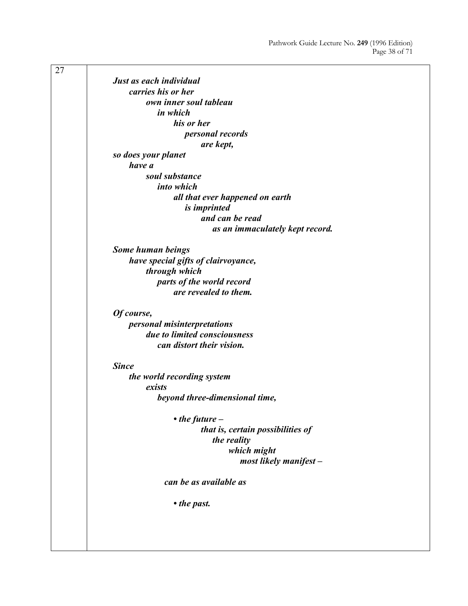| 27 |                                          |
|----|------------------------------------------|
|    | Just as each individual                  |
|    | carries his or her                       |
|    | own inner soul tableau                   |
|    | in which                                 |
|    | his or her                               |
|    | <i>personal records</i>                  |
|    | are kept,                                |
|    | so does your planet                      |
|    | have a                                   |
|    | soul substance                           |
|    | into which                               |
|    | all that ever happened on earth          |
|    | is imprinted                             |
|    | and can be read                          |
|    | as an immaculately kept record.          |
|    |                                          |
|    | Some human beings                        |
|    | have special gifts of clairvoyance,      |
|    | through which                            |
|    | parts of the world record                |
|    | are revealed to them.                    |
|    |                                          |
|    | Of course,                               |
|    | <i>personal misinterpretations</i>       |
|    | due to limited consciousness             |
|    | can distort their vision.                |
|    |                                          |
|    | <b>Since</b>                             |
|    | the world recording system               |
|    | exists<br>beyond three-dimensional time, |
|    |                                          |
|    | $\cdot$ the future $-$                   |
|    | that is, certain possibilities of        |
|    | the reality                              |
|    | which might                              |
|    | most likely manifest -                   |
|    |                                          |
|    | can be as available as                   |
|    | • the past.                              |
|    |                                          |
|    |                                          |
|    |                                          |
|    |                                          |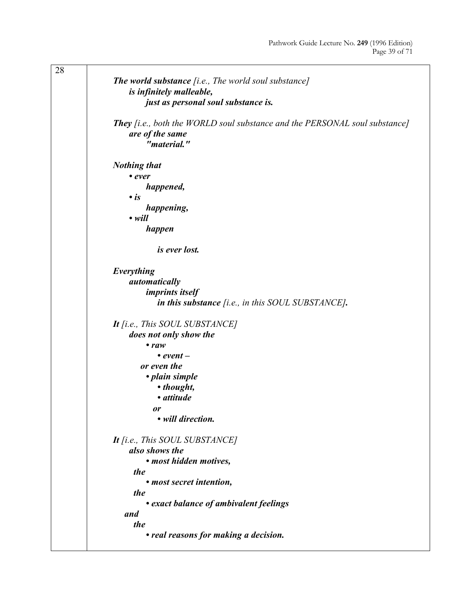| 28 | The world substance [i.e., The world soul substance]<br>is infinitely malleable,                                             |
|----|------------------------------------------------------------------------------------------------------------------------------|
|    | just as personal soul substance is.                                                                                          |
|    | <b>They</b> [i.e., both the WORLD soul substance and the PERSONAL soul substance]<br>are of the same<br>" <i>material.</i> " |
|    | <b>Nothing that</b>                                                                                                          |
|    | • ever                                                                                                                       |
|    | happened,                                                                                                                    |
|    | $\cdot$ is                                                                                                                   |
|    | happening,                                                                                                                   |
|    | $\cdot$ will                                                                                                                 |
|    | happen                                                                                                                       |
|    | is ever lost.                                                                                                                |
|    | Everything                                                                                                                   |
|    | automatically                                                                                                                |
|    | <i>imprints itself</i>                                                                                                       |
|    | in this substance $[i.e., in this SOLU$ SUBSTANCE].                                                                          |
|    |                                                                                                                              |
|    | It [i.e., This SOUL SUBSTANCE]                                                                                               |
|    | does not only show the                                                                                                       |
|    | $\bullet$ raw                                                                                                                |
|    | • event $-$                                                                                                                  |
|    | or even the                                                                                                                  |
|    | • plain simple                                                                                                               |
|    | • thought,                                                                                                                   |
|    | · attitude                                                                                                                   |
|    | or                                                                                                                           |
|    | • will direction.                                                                                                            |
|    | It [i.e., This SOUL SUBSTANCE]                                                                                               |
|    | also shows the                                                                                                               |
|    | • most hidden motives,                                                                                                       |
|    | the                                                                                                                          |
|    | • most secret intention,                                                                                                     |
|    | the                                                                                                                          |
|    | • exact balance of ambivalent feelings                                                                                       |
|    | and                                                                                                                          |
|    | the                                                                                                                          |
|    | • real reasons for making a decision.                                                                                        |
|    |                                                                                                                              |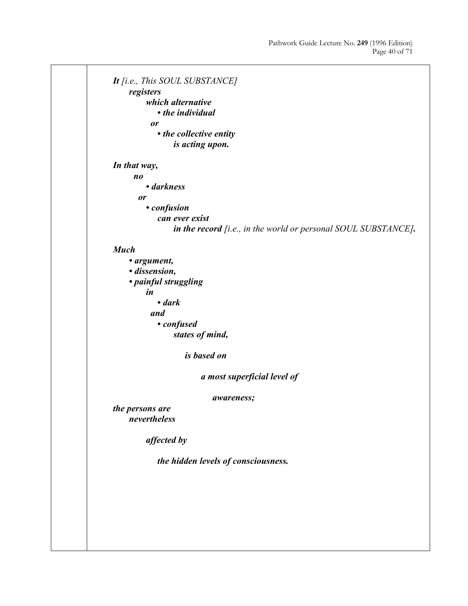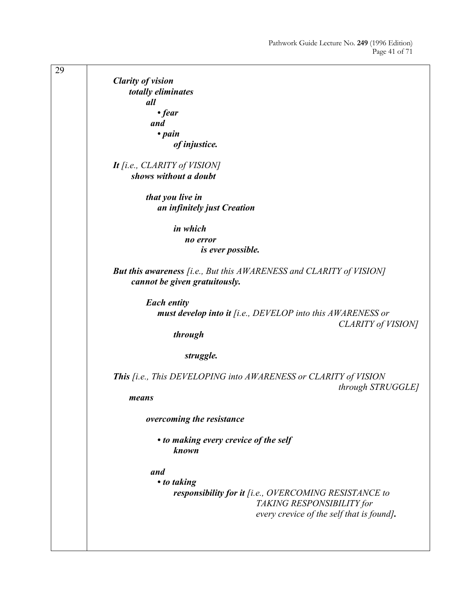29 *Clarity of vision totally eliminates all • fear and • pain of injustice. It [i.e., CLARITY of VISION] shows without a doubt that you live in an infinitely just Creation in which no error is ever possible. But this awareness [i.e., But this AWARENESS and CLARITY of VISION] cannot be given gratuitously. Each entity must develop into it [i.e., DEVELOP into this AWARENESS or CLARITY of VISION] through struggle. This [i.e., This DEVELOPING into AWARENESS or CLARITY of VISION through STRUGGLE] means overcoming the resistance • to making every crevice of the self known and • to taking responsibility for it [i.e., OVERCOMING RESISTANCE to TAKING RESPONSIBILITY for every crevice of the self that is found].*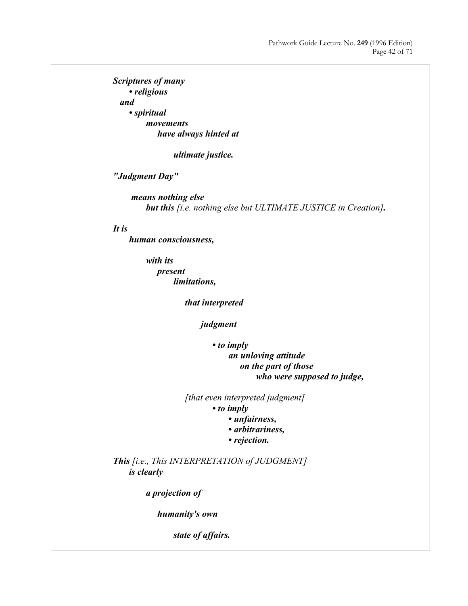*Scriptures of many • religious and • spiritual movements have always hinted at ultimate justice. "Judgment Day" means nothing else but this [i.e. nothing else but ULTIMATE JUSTICE in Creation]. It is human consciousness, with its present limitations, that interpreted judgment • to imply an unloving attitude on the part of those who were supposed to judge, [that even interpreted judgment] • to imply • unfairness, • arbitrariness, • rejection. This [i.e., This INTERPRETATION of JUDGMENT] is clearly a projection of humanity's own state of affairs.*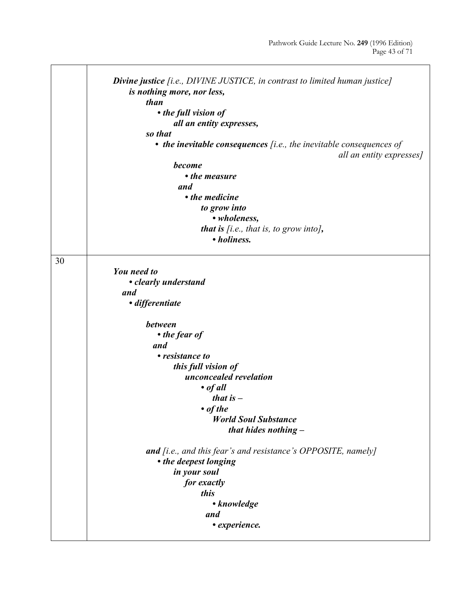|    | <b>Divine justice</b> [i.e., DIVINE JUSTICE, in contrast to limited human justice]<br>is nothing more, nor less, |
|----|------------------------------------------------------------------------------------------------------------------|
|    | than                                                                                                             |
|    | • the full vision of                                                                                             |
|    | all an entity expresses,                                                                                         |
|    | so that                                                                                                          |
|    |                                                                                                                  |
|    | $\bullet$ the inevitable consequences [i.e., the inevitable consequences of                                      |
|    | all an entity expresses]                                                                                         |
|    | become                                                                                                           |
|    | • the measure                                                                                                    |
|    | and                                                                                                              |
|    | • the medicine                                                                                                   |
|    |                                                                                                                  |
|    | to grow into                                                                                                     |
|    | • wholeness,                                                                                                     |
|    | that is $[i.e., that is, to grow into],$                                                                         |
|    | • holiness.                                                                                                      |
|    |                                                                                                                  |
| 30 |                                                                                                                  |
|    | <b>You need to</b>                                                                                               |
|    |                                                                                                                  |
|    | • clearly understand                                                                                             |
|    | and                                                                                                              |
|    | · differentiate                                                                                                  |
|    |                                                                                                                  |
|    | <b>between</b>                                                                                                   |
|    | • the fear of                                                                                                    |
|    | and                                                                                                              |
|    |                                                                                                                  |
|    | • resistance to                                                                                                  |
|    | this full vision of                                                                                              |
|    | unconcealed revelation                                                                                           |
|    | $\bullet$ of all                                                                                                 |
|    | that is $-$                                                                                                      |
|    | $\bullet$ of the                                                                                                 |
|    | <b>World Soul Substance</b>                                                                                      |
|    |                                                                                                                  |
|    | that hides nothing $-$                                                                                           |
|    |                                                                                                                  |
|    | <b>and</b> [i.e., and this fear's and resistance's OPPOSITE, namely]                                             |
|    | • the deepest longing                                                                                            |
|    | in your soul                                                                                                     |
|    | for exactly                                                                                                      |
|    | this                                                                                                             |
|    |                                                                                                                  |
|    | • knowledge                                                                                                      |
|    | and                                                                                                              |
|    | • experience.                                                                                                    |
|    |                                                                                                                  |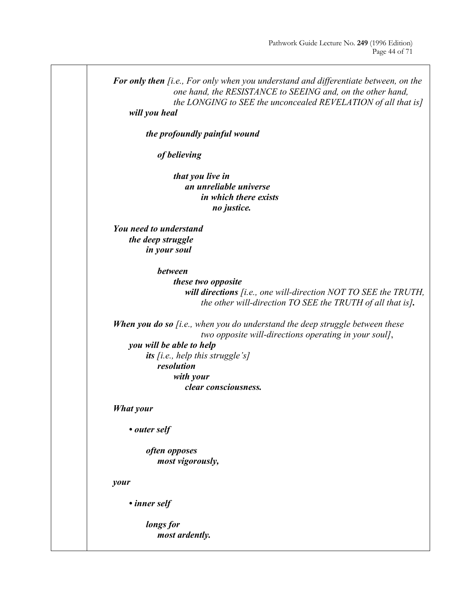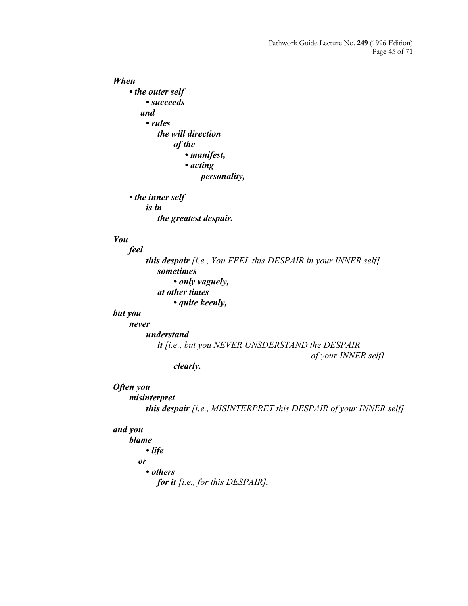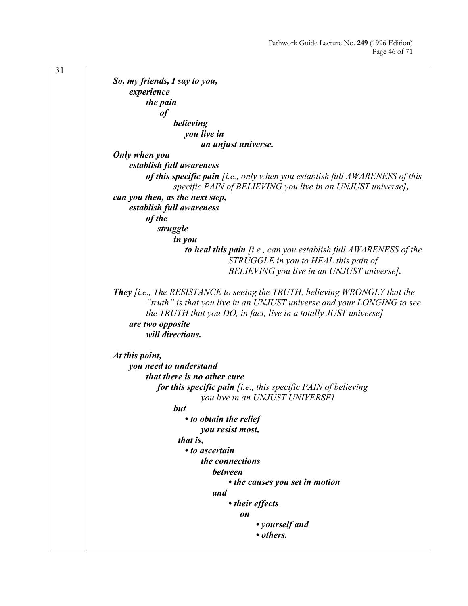31 *So, my friends, I say to you, experience the pain of believing you live in an unjust universe. Only when you establish full awareness of this specific pain [i.e., only when you establish full AWARENESS of this specific PAIN of BELIEVING you live in an UNJUST universe], can you then, as the next step, establish full awareness of the struggle in you to heal this pain [i.e., can you establish full AWARENESS of the STRUGGLE in you to HEAL this pain of BELIEVING you live in an UNJUST universe]. They [i.e., The RESISTANCE to seeing the TRUTH, believing WRONGLY that the "truth" is that you live in an UNJUST universe and your LONGING to see the TRUTH that you DO, in fact, live in a totally JUST universe] are two opposite will directions. At this point, you need to understand that there is no other cure for this specific pain [i.e., this specific PAIN of believing you live in an UNJUST UNIVERSE] but • to obtain the relief you resist most, that is, • to ascertain the connections between • the causes you set in motion and • their effects on • yourself and • others.*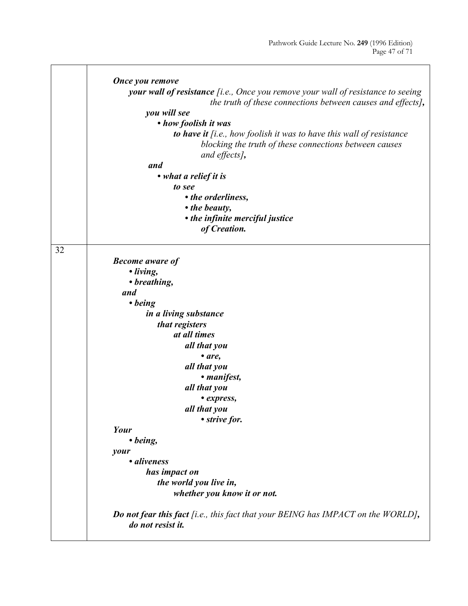$\overline{\phantom{0}}$ 

|    | Once you remove<br>your wall of resistance [i.e., Once you remove your wall of resistance to seeing<br>the truth of these connections between causes and effects],<br>you will see<br>• how foolish it was<br>to have it [i.e., how foolish it was to have this wall of resistance<br>blocking the truth of these connections between causes<br>and effects],<br>and<br>• what a relief it is<br>to see<br>• the orderliness,<br>• the beauty,<br>• the infinite merciful justice<br>of Creation.                   |
|----|---------------------------------------------------------------------------------------------------------------------------------------------------------------------------------------------------------------------------------------------------------------------------------------------------------------------------------------------------------------------------------------------------------------------------------------------------------------------------------------------------------------------|
| 32 | <b>Become aware of</b><br>· living,<br>• breathing,<br>and<br>$\cdot$ being<br>in a living substance<br>that registers<br>at all times<br>all that you<br>$\bullet$ are,<br>all that you<br>• manifest,<br>all that you<br>• express,<br>all that you<br>• strive for.<br>Your<br>$\bullet$ being,<br>your<br>• aliveness<br>has impact on<br>the world you live in,<br>whether you know it or not.<br><b>Do not fear this fact</b> [i.e., this fact that your BEING has IMPACT on the WORLD],<br>do not resist it. |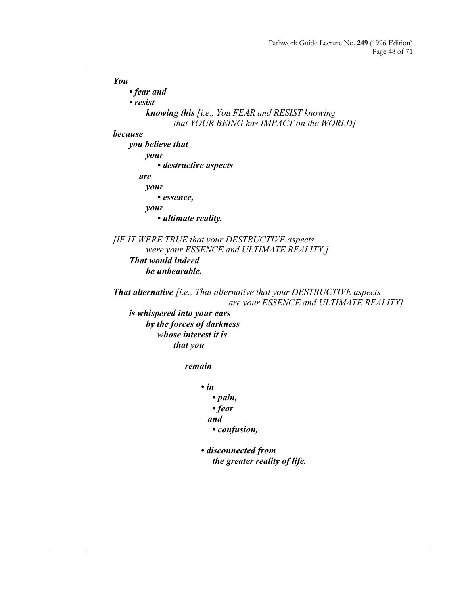```
You 
     • fear and 
     • resist 
         knowing this [i.e., You FEAR and RESIST knowing 
                that YOUR BEING has IMPACT on the WORLD]
because 
     you believe that 
         your 
             • destructive aspects 
        are 
        your 
             • essence, 
        your 
             • ultimate reality. 
[IF IT WERE TRUE that your DESTRUCTIVE aspects 
        were your ESSENCE and ULTIMATE REALITY,] 
     That would indeed 
        be unbearable. 
That alternative [i.e., That alternative that your DESTRUCTIVE aspects 
                               are your ESSENCE and ULTIMATE REALITY]
     is whispered into your ears 
        by the forces of darkness 
             whose interest it is 
                that you 
                    remain 
                        • in 
                            • pain, 
                            • fear 
                           and 
                            • confusion, 
                         • disconnected from 
                            the greater reality of life.
```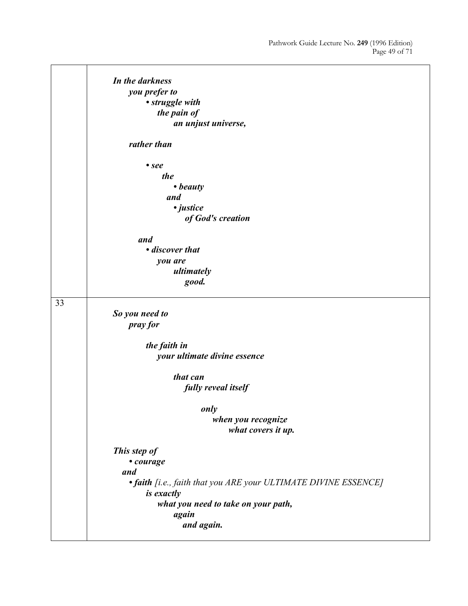|    | In the darkness                                                 |
|----|-----------------------------------------------------------------|
|    | you prefer to                                                   |
|    | • struggle with                                                 |
|    | the pain of                                                     |
|    | an unjust universe,                                             |
|    | rather than                                                     |
|    | $\bullet$ see                                                   |
|    | the                                                             |
|    | • beauty                                                        |
|    | and                                                             |
|    | · justice                                                       |
|    |                                                                 |
|    | of God's creation                                               |
|    | and                                                             |
|    | • discover that                                                 |
|    | you are                                                         |
|    | ultimately                                                      |
|    | good.                                                           |
|    |                                                                 |
| 33 |                                                                 |
|    | So you need to                                                  |
|    | pray for                                                        |
|    |                                                                 |
|    | the faith in                                                    |
|    | your ultimate divine essence                                    |
|    |                                                                 |
|    | that can                                                        |
|    | fully reveal itself                                             |
|    |                                                                 |
|    | only                                                            |
|    | when you recognize                                              |
|    | what covers it up.                                              |
|    |                                                                 |
|    | This step of                                                    |
|    | • courage                                                       |
|    | and                                                             |
|    | • faith [i.e., faith that you ARE your ULTIMATE DIVINE ESSENCE] |
|    | is exactly                                                      |
|    | what you need to take on your path,                             |
|    | again                                                           |
|    | and again.                                                      |
|    |                                                                 |
|    |                                                                 |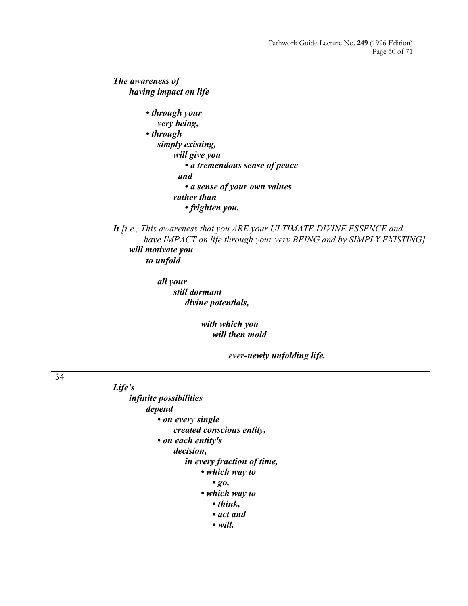$\overline{\phantom{0}}$ 

|    | The awareness of                                                                                                                                                                |
|----|---------------------------------------------------------------------------------------------------------------------------------------------------------------------------------|
|    | having impact on life                                                                                                                                                           |
|    | • through your                                                                                                                                                                  |
|    | very being,                                                                                                                                                                     |
|    | • through                                                                                                                                                                       |
|    | simply existing,                                                                                                                                                                |
|    | will give you                                                                                                                                                                   |
|    | • a tremendous sense of peace                                                                                                                                                   |
|    | and                                                                                                                                                                             |
|    | • a sense of your own values                                                                                                                                                    |
|    | rather than                                                                                                                                                                     |
|    | • frighten you.                                                                                                                                                                 |
|    | It [i.e., This awareness that you ARE your ULTIMATE DIVINE ESSENCE and<br>have IMPACT on life through your very BEING and by SIMPLY EXISTING]<br>will motivate you<br>to unfold |
|    |                                                                                                                                                                                 |
|    | all your                                                                                                                                                                        |
|    | still dormant                                                                                                                                                                   |
|    | divine potentials,                                                                                                                                                              |
|    | with which you                                                                                                                                                                  |
|    | will then mold                                                                                                                                                                  |
|    | ever-newly unfolding life.                                                                                                                                                      |
| 34 |                                                                                                                                                                                 |
|    | Life's                                                                                                                                                                          |
|    | infinite possibilities                                                                                                                                                          |
|    | depend                                                                                                                                                                          |
|    | • on every single                                                                                                                                                               |
|    | created conscious entity,                                                                                                                                                       |
|    | • on each entity's                                                                                                                                                              |
|    | decision,                                                                                                                                                                       |
|    | in every fraction of time,                                                                                                                                                      |
|    | • which way to                                                                                                                                                                  |
|    | $\cdot$ go,                                                                                                                                                                     |
|    | • which way to                                                                                                                                                                  |
|    | $\bullet$ think,                                                                                                                                                                |
|    | • act and                                                                                                                                                                       |
|    | $\bullet$ will.                                                                                                                                                                 |
|    |                                                                                                                                                                                 |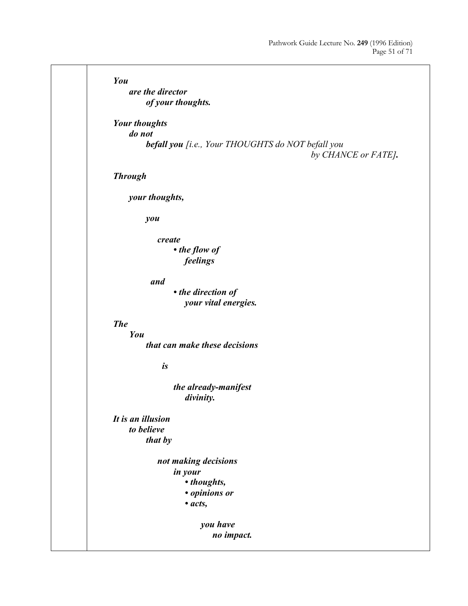| You                                               |
|---------------------------------------------------|
| are the director                                  |
| of your thoughts.                                 |
|                                                   |
| <b>Your thoughts</b>                              |
| do not                                            |
| befall you [i.e., Your THOUGHTS do NOT befall you |
| by CHANCE or FATE].                               |
|                                                   |
| <b>Through</b>                                    |
| your thoughts,                                    |
|                                                   |
| you                                               |
|                                                   |
| create                                            |
| • the flow of                                     |
| feelings                                          |
| and                                               |
| • the direction of                                |
| your vital energies.                              |
|                                                   |
| <b>The</b>                                        |
| You                                               |
| that can make these decisions                     |
|                                                   |
| is                                                |
| the already-manifest                              |
| divinity.                                         |
|                                                   |
| It is an illusion                                 |
| to believe                                        |
| that by                                           |
|                                                   |
| not making decisions                              |
| in your<br>• thoughts,                            |
| • opinions or                                     |
| $\bullet$ acts,                                   |
|                                                   |
| you have                                          |
| no impact.                                        |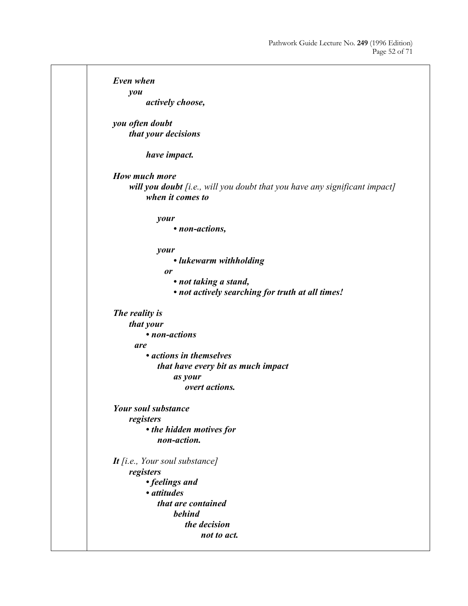*Even when you actively choose, you often doubt that your decisions have impact. How much more will you doubt [i.e., will you doubt that you have any significant impact] when it comes to your • non-actions, your • lukewarm withholding or • not taking a stand, • not actively searching for truth at all times! The reality is that your • non-actions are • actions in themselves that have every bit as much impact as your overt actions. Your soul substance registers • the hidden motives for non-action. It [i.e., Your soul substance] registers • feelings and • attitudes that are contained behind the decision not to act.*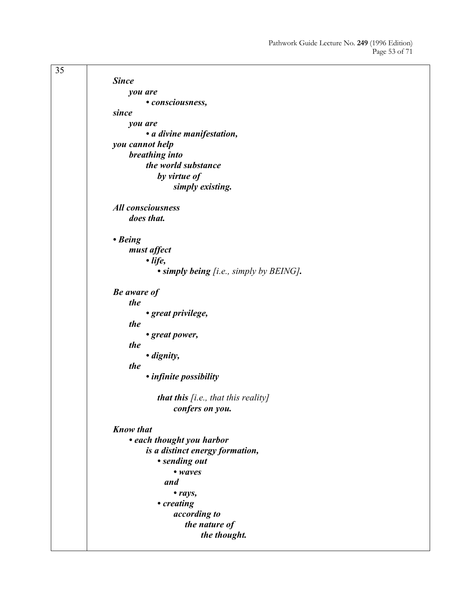| 35 |                                                 |
|----|-------------------------------------------------|
|    | <b>Since</b>                                    |
|    | you are                                         |
|    | • consciousness,                                |
|    | since                                           |
|    | you are                                         |
|    | • a divine manifestation,                       |
|    | you cannot help                                 |
|    | breathing into                                  |
|    | the world substance                             |
|    | by virtue of                                    |
|    | simply existing.                                |
|    | <b>All consciousness</b>                        |
|    | does that.                                      |
|    |                                                 |
|    | • Being                                         |
|    | must affect                                     |
|    | $\cdot$ life,                                   |
|    | $\bullet$ simply being [i.e., simply by BEING]. |
|    | <b>Be</b> aware of                              |
|    | the                                             |
|    | • great privilege,                              |
|    | the                                             |
|    | • great power,                                  |
|    | the                                             |
|    | · dignity,                                      |
|    | the                                             |
|    | • infinite possibility                          |
|    | <b>that this</b> [i.e., that this reality]      |
|    | confers on you.                                 |
|    |                                                 |
|    | <b>Know that</b>                                |
|    | • each thought you harbor                       |
|    | is a distinct energy formation,                 |
|    | • sending out                                   |
|    | • waves                                         |
|    | and                                             |
|    | • rays,                                         |
|    | • creating                                      |
|    | according to                                    |
|    | the nature of                                   |
|    | the thought.                                    |
|    |                                                 |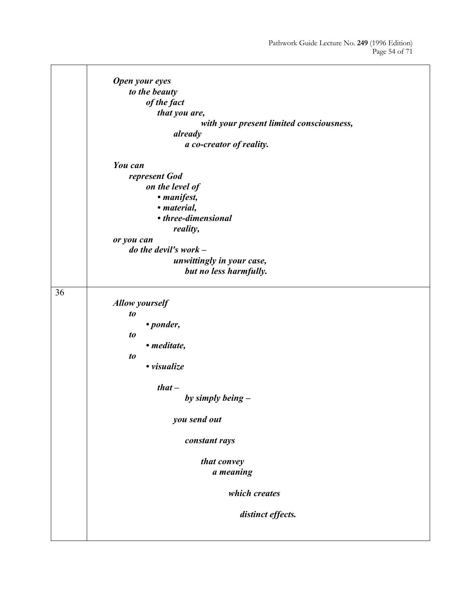$\overline{\phantom{0}}$ 

|    | Open your eyes                           |
|----|------------------------------------------|
|    | to the beauty                            |
|    | of the fact                              |
|    | that you are,                            |
|    | with your present limited consciousness, |
|    | already                                  |
|    | a co-creator of reality.                 |
|    | You can                                  |
|    | represent God                            |
|    | on the level of                          |
|    | • manifest,                              |
|    | • material,                              |
|    | • three-dimensional                      |
|    | reality,                                 |
|    | or you can                               |
|    | do the devil's work $-$                  |
|    | unwittingly in your case,                |
|    | but no less harmfully.                   |
|    |                                          |
| 36 |                                          |
|    | <b>Allow yourself</b>                    |
|    | to                                       |
|    | • ponder,                                |
|    | to                                       |
|    | · meditate,                              |
|    | $\boldsymbol{to}$                        |
|    | · visualize                              |
|    | $that -$                                 |
|    | by simply being $-$                      |
|    |                                          |
|    | you send out                             |
|    | constant rays                            |
|    |                                          |
|    | that convey                              |
|    | a meaning                                |
|    | which creates                            |
|    | distinct effects.                        |
|    |                                          |
|    |                                          |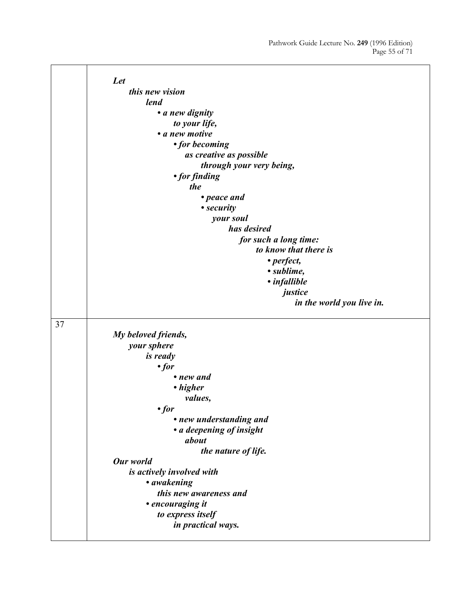|    | Let                                     |
|----|-----------------------------------------|
|    | this new vision                         |
|    | lend                                    |
|    | • a new dignity                         |
|    | to your life,                           |
|    | • a new motive                          |
|    | • for becoming                          |
|    | as creative as possible                 |
|    | through your very being,                |
|    | • for finding                           |
|    | the                                     |
|    | • peace and                             |
|    | • security                              |
|    | your soul                               |
|    | has desired                             |
|    | for such a long time:                   |
|    | to know that there is                   |
|    | • perfect,                              |
|    | • sublime,                              |
|    | • infallible                            |
|    | justice                                 |
|    | in the world you live in.               |
| 37 |                                         |
|    | My beloved friends,                     |
|    | your sphere                             |
|    | <i>is ready</i>                         |
|    | $\cdot$ for                             |
|    | • new and                               |
|    | • higher                                |
|    | values,                                 |
|    | $\cdot$ for                             |
|    | • new understanding and                 |
|    | • a deepening of insight                |
|    | about                                   |
|    | the nature of life.                     |
|    | Our world                               |
|    | is actively involved with               |
|    | • awakening                             |
|    | this new awareness and                  |
|    | · encouraging it                        |
|    | to express itself<br>in practical ways. |
|    |                                         |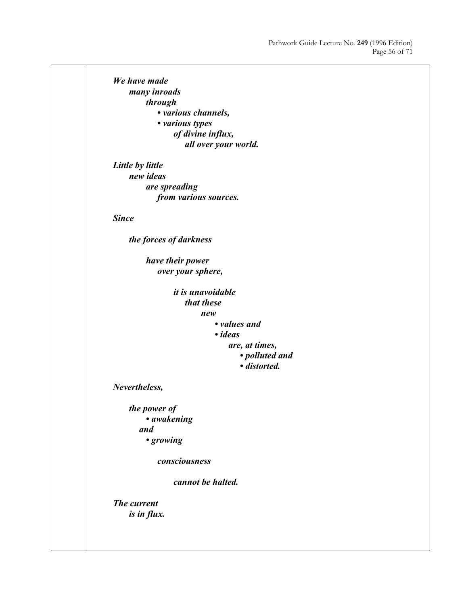*We have made many inroads through • various channels, • various types of divine influx, all over your world. Little by little new ideas are spreading from various sources. Since the forces of darkness have their power over your sphere, it is unavoidable that these new • values and • ideas are, at times, • polluted and • distorted. Nevertheless, the power of • awakening and • growing consciousness cannot be halted. The current is in flux.*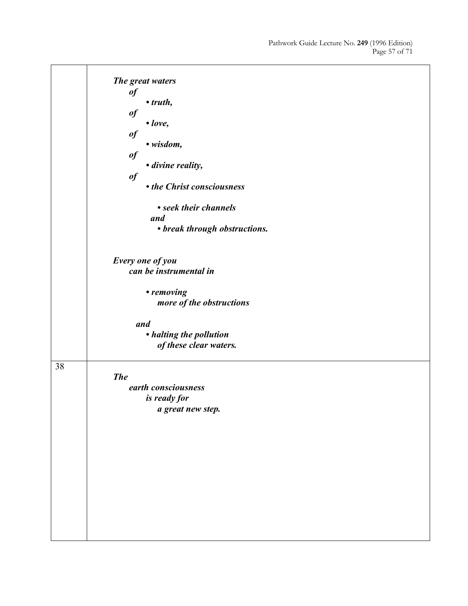|    | The great waters              |
|----|-------------------------------|
|    | $\boldsymbol{\mathit{of}}$    |
|    | $\bullet$ truth,              |
|    | $\boldsymbol{\mathit{of}}$    |
|    | $\bullet$ love,               |
|    | $\boldsymbol{\mathit{of}}$    |
|    | · wisdom,                     |
|    | $\boldsymbol{\theta}$         |
|    | · divine reality,             |
|    | $\boldsymbol{\mathit{of}}$    |
|    | • the Christ consciousness    |
|    | • seek their channels         |
|    | and                           |
|    |                               |
|    | • break through obstructions. |
|    |                               |
|    | Every one of you              |
|    | can be instrumental in        |
|    |                               |
|    | • removing                    |
|    | more of the obstructions      |
|    | and                           |
|    | • halting the pollution       |
|    | of these clear waters.        |
|    |                               |
| 38 |                               |
|    | <b>The</b>                    |
|    | earth consciousness           |
|    | <i>is ready for</i>           |
|    | a great new step.             |
|    |                               |
|    |                               |
|    |                               |
|    |                               |
|    |                               |
|    |                               |
|    |                               |
|    |                               |
|    |                               |
|    |                               |
|    |                               |
|    |                               |
|    |                               |
|    |                               |
|    |                               |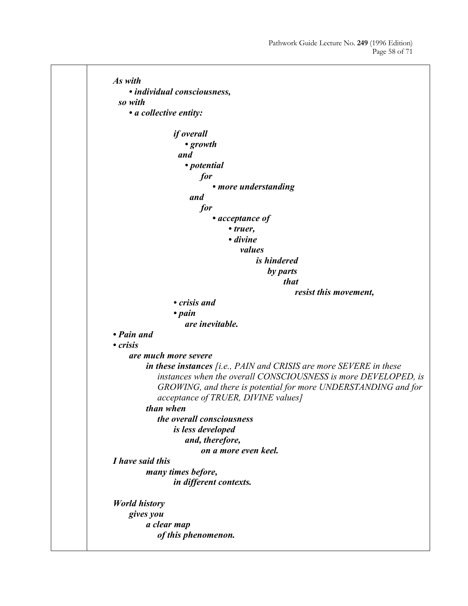*As with • individual consciousness, so with • a collective entity: if overall • growth and • potential for • more understanding and for • acceptance of • truer, • divine values is hindered by parts that resist this movement, • crisis and • pain are inevitable. • Pain and • crisis are much more severe in these instances [i.e., PAIN and CRISIS are more SEVERE in these instances when the overall CONSCIOUSNESS is more DEVELOPED, is GROWING, and there is potential for more UNDERSTANDING and for acceptance of TRUER, DIVINE values] than when the overall consciousness is less developed and, therefore, on a more even keel. I have said this many times before, in different contexts. World history gives you a clear map of this phenomenon.*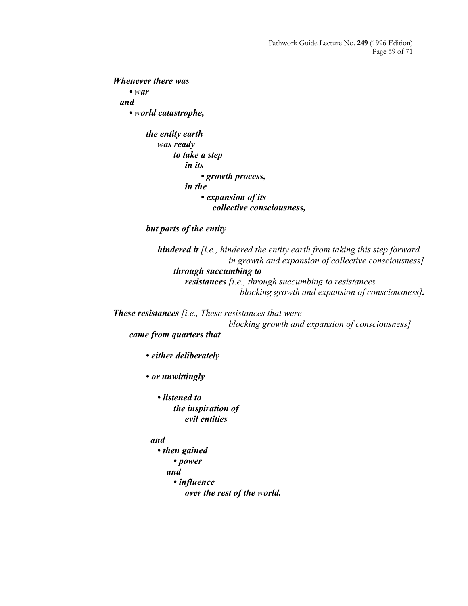*Whenever there was • war and • world catastrophe, the entity earth was ready to take a step in its • growth process, in the • expansion of its collective consciousness, but parts of the entity hindered it [i.e., hindered the entity earth from taking this step forward in growth and expansion of collective consciousness] through succumbing to resistances [i.e., through succumbing to resistances blocking growth and expansion of consciousness]. These resistances [i.e., These resistances that were blocking growth and expansion of consciousness] came from quarters that • either deliberately • or unwittingly • listened to the inspiration of evil entities and • then gained • power and • influence over the rest of the world.*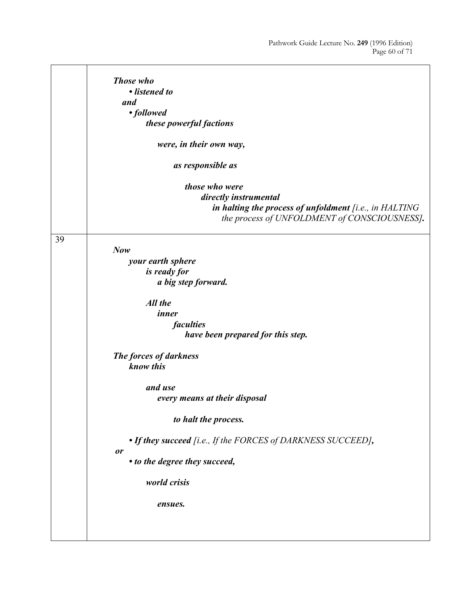|    | Those who<br>• listened to<br>and<br>• followed<br>these powerful factions<br>were, in their own way,<br>as responsible as<br>those who were<br>directly instrumental<br>in halting the process of unfoldment [i.e., in HALTING |
|----|---------------------------------------------------------------------------------------------------------------------------------------------------------------------------------------------------------------------------------|
|    | the process of UNFOLDMENT of CONSCIOUSNESS].                                                                                                                                                                                    |
| 39 | Now<br>your earth sphere<br>is ready for<br>a big step forward.<br>All the<br>inner<br>faculties<br>have been prepared for this step.<br>The forces of darkness                                                                 |
|    | know this                                                                                                                                                                                                                       |
|    | and use<br>every means at their disposal                                                                                                                                                                                        |
|    | to halt the process.                                                                                                                                                                                                            |
|    | • If they succeed [i.e., If the FORCES of DARKNESS SUCCEED],                                                                                                                                                                    |
|    | or<br>• to the degree they succeed,                                                                                                                                                                                             |
|    | world crisis                                                                                                                                                                                                                    |
|    | ensues.                                                                                                                                                                                                                         |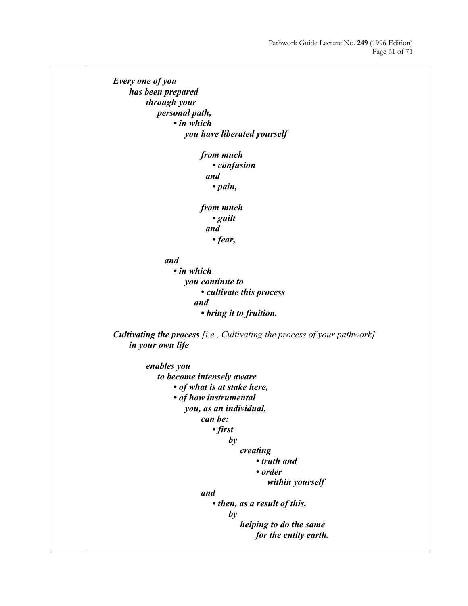```
Every one of you 
     has been prepared 
         through your 
             personal path, 
                 • in which 
                      you have liberated yourself 
                         from much 
                              • confusion 
                            and 
                              • pain, 
                         from much 
                              • guilt 
                            and 
                              • fear, 
               and 
                 • in which 
                     you continue to
                         • cultivate this process 
                        and 
                         • bring it to fruition. 
Cultivating the process [i.e., Cultivating the process of your pathwork]
     in your own life 
         enables you 
              to become intensely aware 
                 • of what is at stake here, 
                 • of how instrumental 
                      you, as an individual, 
                         can be: 
                              • first 
                                 b\nu creating 
                                         • truth and 
                                         • order 
                                              within yourself 
                         and
                              • then, as a result of this, 
                                 b\nu helping to do the same 
                                         for the entity earth.
```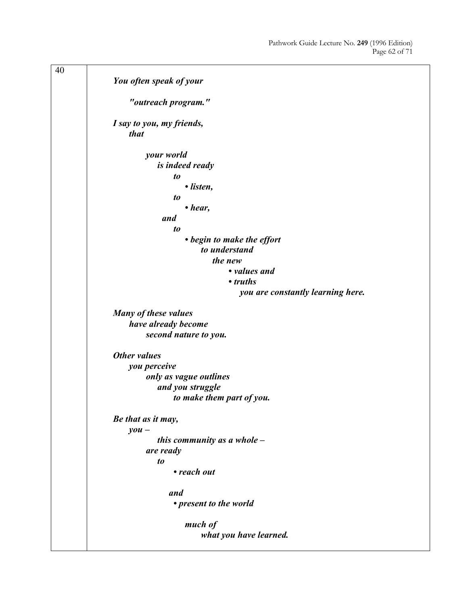| 40 |                                   |
|----|-----------------------------------|
|    | You often speak of your           |
|    |                                   |
|    | "outreach program."               |
|    |                                   |
|    | I say to you, my friends,<br>that |
|    |                                   |
|    | your world                        |
|    | is indeed ready                   |
|    | to                                |
|    | • listen,                         |
|    | t <sub>o</sub>                    |
|    | $\bullet$ hear,                   |
|    | and                               |
|    | $\boldsymbol{to}$                 |
|    | • begin to make the effort        |
|    | to understand                     |
|    | the new                           |
|    | • values and                      |
|    | • truths                          |
|    | you are constantly learning here. |
|    | Many of these values              |
|    | have already become               |
|    | second nature to you.             |
|    |                                   |
|    | Other values                      |
|    | you perceive                      |
|    | only as vague outlines            |
|    | and you struggle                  |
|    | to make them part of you.         |
|    | Be that as it may,                |
|    | $you -$                           |
|    | this community as a whole $-$     |
|    | are ready                         |
|    | $\boldsymbol{to}$                 |
|    | • reach out                       |
|    |                                   |
|    | and                               |
|    | • present to the world            |
|    | much of                           |
|    | what you have learned.            |
|    |                                   |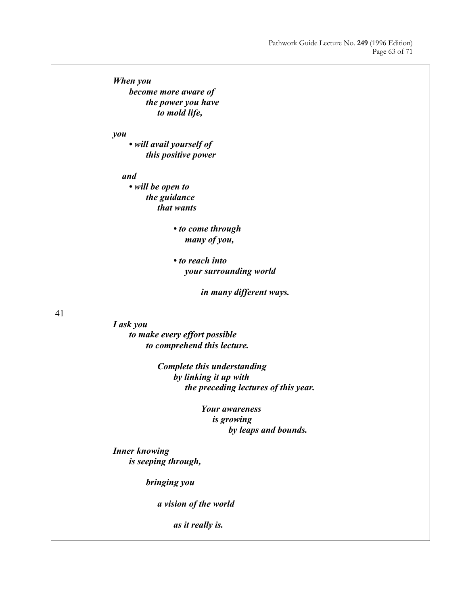٦

|    | When you                             |
|----|--------------------------------------|
|    | become more aware of                 |
|    | the power you have                   |
|    | to mold life,                        |
|    |                                      |
|    | you                                  |
|    | • will avail yourself of             |
|    | this positive power                  |
|    | and                                  |
|    | • will be open to                    |
|    | the guidance                         |
|    | that wants                           |
|    |                                      |
|    | • to come through                    |
|    | many of you,                         |
|    | • to reach into                      |
|    | your surrounding world               |
|    |                                      |
|    | in many different ways.              |
|    |                                      |
| 41 | I ask you                            |
|    | to make every effort possible        |
|    | to comprehend this lecture.          |
|    |                                      |
|    | Complete this understanding          |
|    | by linking it up with                |
|    | the preceding lectures of this year. |
|    |                                      |
|    | <b>Your awareness</b>                |
|    | is growing                           |
|    | by leaps and bounds.                 |
|    | <b>Inner knowing</b>                 |
|    | is seeping through,                  |
|    |                                      |
|    | bringing you                         |
|    |                                      |
|    | a vision of the world                |
|    | as it really is.                     |
|    |                                      |

 $\overline{\phantom{a}}$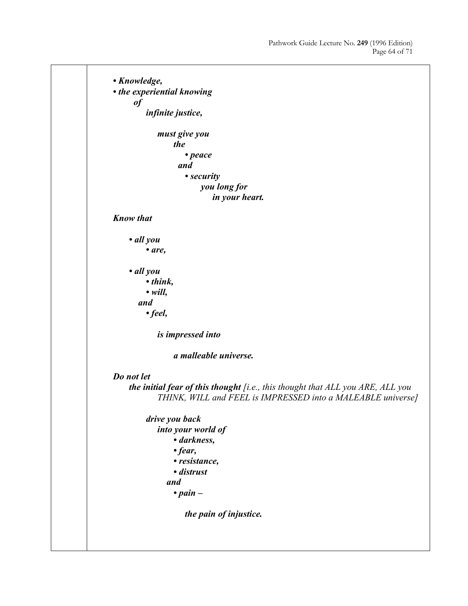*• Knowledge, • the experiential knowing of infinite justice, must give you the • peace and • security you long for in your heart. Know that • all you • are, • all you • think, • will, and • feel, is impressed into a malleable universe. Do not let the initial fear of this thought [i.e., this thought that ALL you ARE, ALL you THINK, WILL and FEEL is IMPRESSED into a MALEABLE universe] drive you back into your world of • darkness, • fear, • resistance, • distrust and • pain – the pain of injustice.*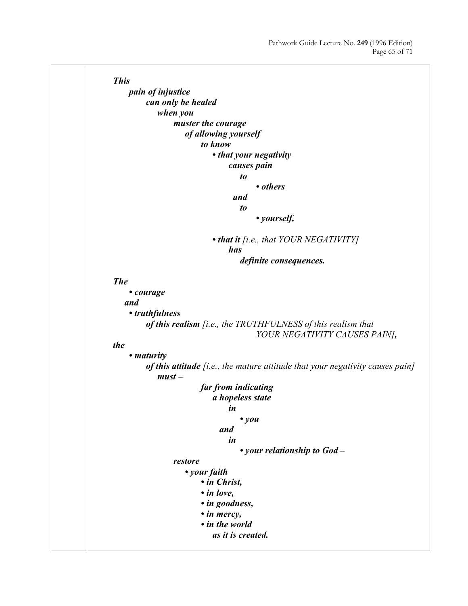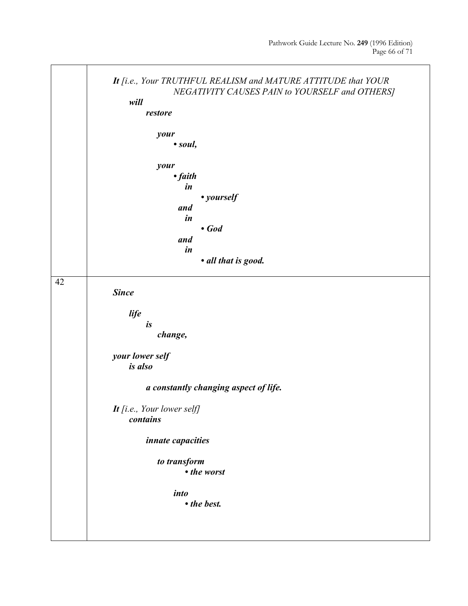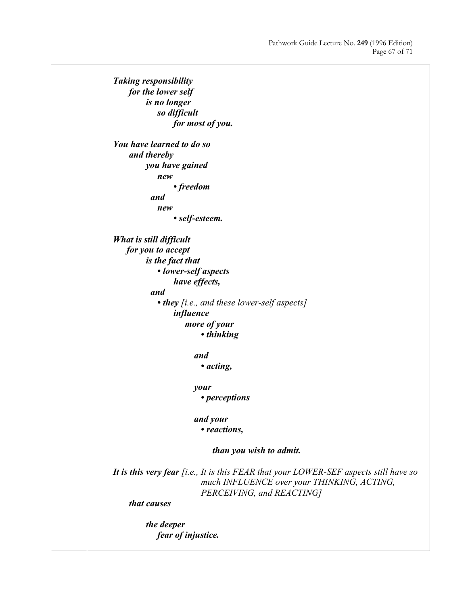*Taking responsibility for the lower self is no longer so difficult for most of you. You have learned to do so and thereby you have gained new • freedom and new • self-esteem. What is still difficult for you to accept is the fact that • lower-self aspects have effects, and • they [i.e., and these lower-self aspects] influence more of your • thinking and • acting, your • perceptions and your • reactions, than you wish to admit. It is this very fear [i.e., It is this FEAR that your LOWER-SEF aspects still have so much INFLUENCE over your THINKING, ACTING, PERCEIVING, and REACTING] that causes the deeper fear of injustice.*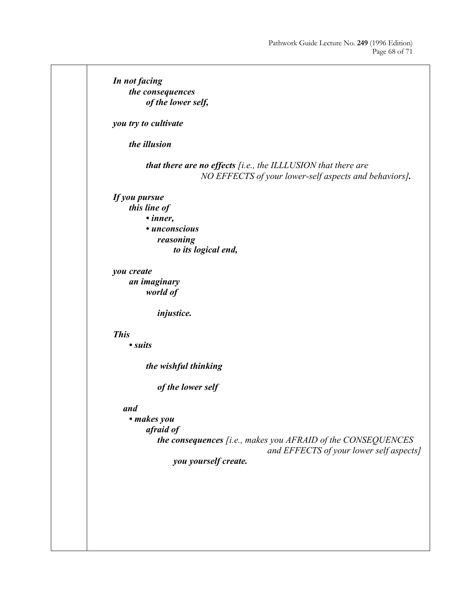*In not facing the consequences of the lower self, you try to cultivate the illusion that there are no effects [i.e., the ILLLUSION that there are NO EFFECTS of your lower-self aspects and behaviors]. If you pursue this line of • inner, • unconscious reasoning to its logical end, you create an imaginary world of injustice. This • suits the wishful thinking of the lower self and • makes you afraid of the consequences [i.e., makes you AFRAID of the CONSEQUENCES and EFFECTS of your lower self aspects] you yourself create.*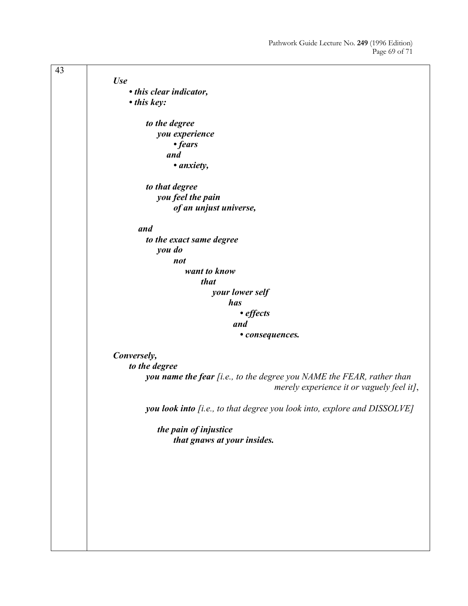| 43 |                                                                                                                    |
|----|--------------------------------------------------------------------------------------------------------------------|
|    | <b>Use</b>                                                                                                         |
|    | • this clear indicator,                                                                                            |
|    | • this key:                                                                                                        |
|    | to the degree                                                                                                      |
|    | you experience                                                                                                     |
|    | • fears                                                                                                            |
|    | and                                                                                                                |
|    | • anxiety,                                                                                                         |
|    | to that degree                                                                                                     |
|    | you feel the pain                                                                                                  |
|    | of an unjust universe,                                                                                             |
|    | and                                                                                                                |
|    | to the exact same degree                                                                                           |
|    | you do                                                                                                             |
|    | not                                                                                                                |
|    | want to know                                                                                                       |
|    | <i>that</i>                                                                                                        |
|    | your lower self                                                                                                    |
|    | has                                                                                                                |
|    | $\cdot$ effects                                                                                                    |
|    | and                                                                                                                |
|    | • consequences.                                                                                                    |
|    | Conversely,                                                                                                        |
|    | to the degree                                                                                                      |
|    | you name the fear [i.e., to the degree you NAME the FEAR, rather than<br>merely experience it or vaguely feel it], |
|    | you look into [i.e., to that degree you look into, explore and DISSOLVE]                                           |
|    | the pain of injustice<br>that gnaws at your insides.                                                               |
|    |                                                                                                                    |
|    |                                                                                                                    |
|    |                                                                                                                    |
|    |                                                                                                                    |
|    |                                                                                                                    |
|    |                                                                                                                    |
|    |                                                                                                                    |
|    |                                                                                                                    |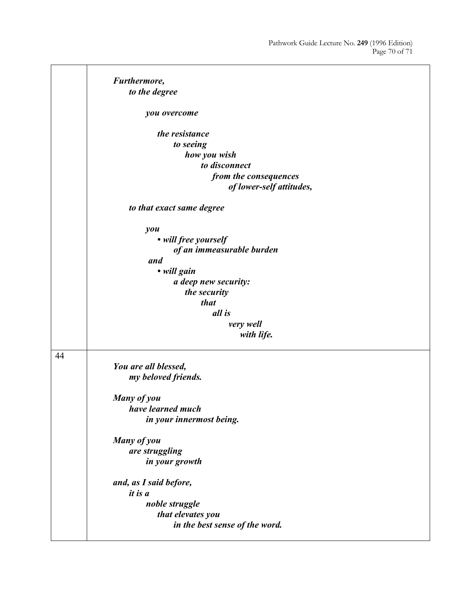|    | Furthermore,                   |
|----|--------------------------------|
|    | to the degree                  |
|    | you overcome                   |
|    | the resistance                 |
|    | to seeing                      |
|    | how you wish                   |
|    | to disconnect                  |
|    | from the consequences          |
|    | of lower-self attitudes,       |
|    | to that exact same degree      |
|    | you                            |
|    | • will free yourself           |
|    | of an immeasurable burden      |
|    | and                            |
|    | • will gain                    |
|    | a deep new security:           |
|    | the security                   |
|    | that                           |
|    | all is                         |
|    | very well                      |
|    | with life.                     |
| 44 |                                |
|    | You are all blessed,           |
|    | my beloved friends.            |
|    | Many of you                    |
|    | have learned much              |
|    | in your innermost being.       |
|    | Many of you                    |
|    | are struggling                 |
|    | in your growth                 |
|    | and, as I said before,         |
|    | it is a                        |
|    | noble struggle                 |
|    | that elevates you              |
|    | in the best sense of the word. |
|    |                                |